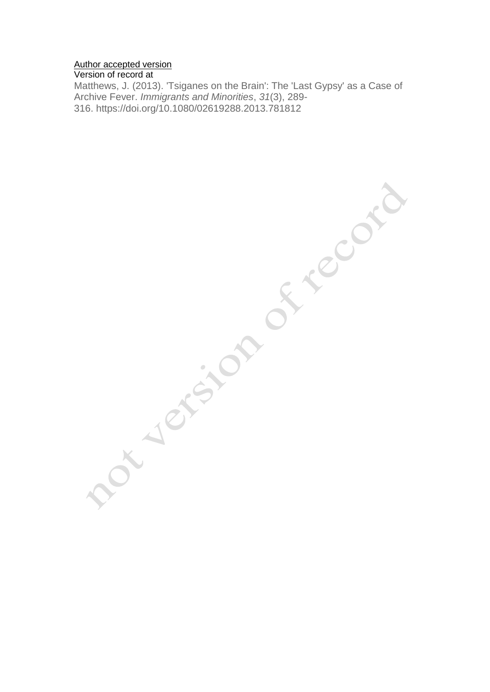# Author accepted version

Version of record at

Matthews, J. (2013). 'Tsiganes on the Brain': The 'Last Gypsy' as a Case of Archive Fever. *Immigrants and Minorities*, *31*(3), 289-

316. https://doi.org/10.1080/02619288.2013.781812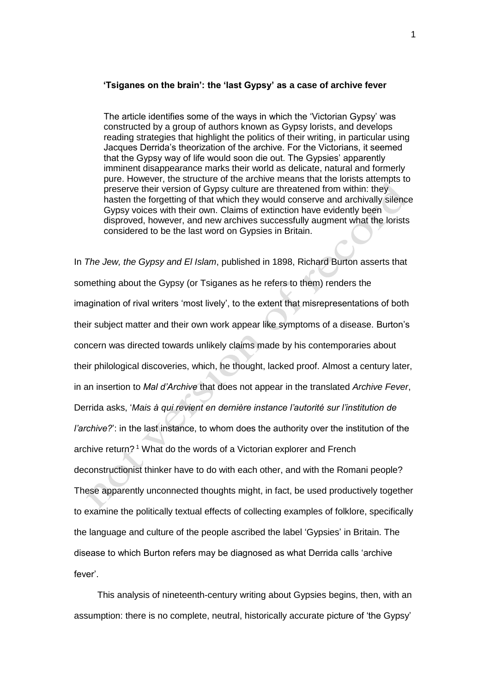### **'Tsiganes on the brain': the 'last Gypsy' as a case of archive fever**

The article identifies some of the ways in which the 'Victorian Gypsy' was constructed by a group of authors known as Gypsy lorists, and develops reading strategies that highlight the politics of their writing, in particular using Jacques Derrida's theorization of the archive. For the Victorians, it seemed that the Gypsy way of life would soon die out. The Gypsies' apparently imminent disappearance marks their world as delicate, natural and formerly pure. However, the structure of the archive means that the lorists attempts to preserve their version of Gypsy culture are threatened from within: they hasten the forgetting of that which they would conserve and archivally silence Gypsy voices with their own. Claims of extinction have evidently been disproved, however, and new archives successfully augment what the lorists considered to be the last word on Gypsies in Britain.

In *The Jew, the Gypsy and El Islam*, published in 1898, Richard Burton asserts that something about the Gypsy (or Tsiganes as he refers to them) renders the imagination of rival writers 'most lively', to the extent that misrepresentations of both their subject matter and their own work appear like symptoms of a disease. Burton's concern was directed towards unlikely claims made by his contemporaries about their philological discoveries, which, he thought, lacked proof. Almost a century later, in an insertion to *Mal d'Archive* that does not appear in the translated *Archive Fever*, Derrida asks, '*Mais à qui revient en dernière instance l'autorité sur l'institution de l'archive?*': in the last instance, to whom does the authority over the institution of the archive return?<sup>1</sup> What do the words of a Victorian explorer and French deconstructionist thinker have to do with each other, and with the Romani people? These apparently unconnected thoughts might, in fact, be used productively together to examine the politically textual effects of collecting examples of folklore, specifically the language and culture of the people ascribed the label 'Gypsies' in Britain. The disease to which Burton refers may be diagnosed as what Derrida calls 'archive fever'.

This analysis of nineteenth-century writing about Gypsies begins, then, with an assumption: there is no complete, neutral, historically accurate picture of 'the Gypsy'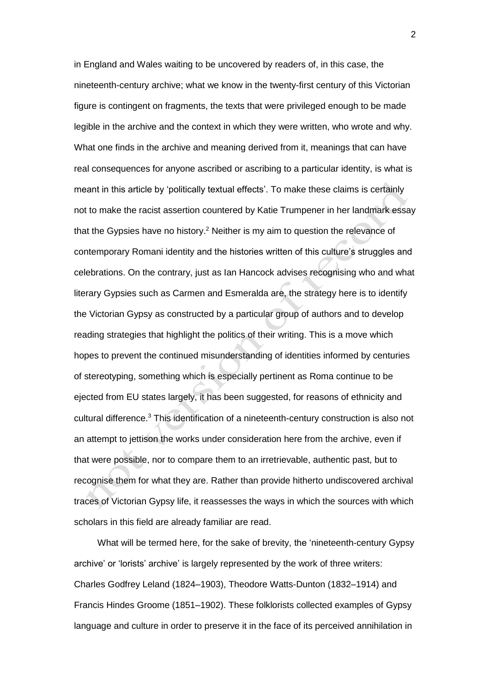in England and Wales waiting to be uncovered by readers of, in this case, the nineteenth-century archive; what we know in the twenty-first century of this Victorian figure is contingent on fragments, the texts that were privileged enough to be made legible in the archive and the context in which they were written, who wrote and why. What one finds in the archive and meaning derived from it, meanings that can have real consequences for anyone ascribed or ascribing to a particular identity, is what is meant in this article by 'politically textual effects'. To make these claims is certainly not to make the racist assertion countered by Katie Trumpener in her landmark essay that the Gypsies have no history.<sup>2</sup> Neither is my aim to question the relevance of contemporary Romani identity and the histories written of this culture's struggles and celebrations. On the contrary, just as Ian Hancock advises recognising who and what literary Gypsies such as Carmen and Esmeralda are, the strategy here is to identify the Victorian Gypsy as constructed by a particular group of authors and to develop reading strategies that highlight the politics of their writing. This is a move which hopes to prevent the continued misunderstanding of identities informed by centuries of stereotyping, something which is especially pertinent as Roma continue to be ejected from EU states largely, it has been suggested, for reasons of ethnicity and cultural difference. <sup>3</sup> This identification of a nineteenth-century construction is also not an attempt to jettison the works under consideration here from the archive, even if that were possible, nor to compare them to an irretrievable, authentic past, but to recognise them for what they are. Rather than provide hitherto undiscovered archival traces of Victorian Gypsy life, it reassesses the ways in which the sources with which scholars in this field are already familiar are read.

What will be termed here, for the sake of brevity, the 'nineteenth-century Gypsy archive' or 'lorists' archive' is largely represented by the work of three writers: Charles Godfrey Leland (1824–1903), Theodore Watts-Dunton (1832–1914) and Francis Hindes Groome (1851–1902). These folklorists collected examples of Gypsy language and culture in order to preserve it in the face of its perceived annihilation in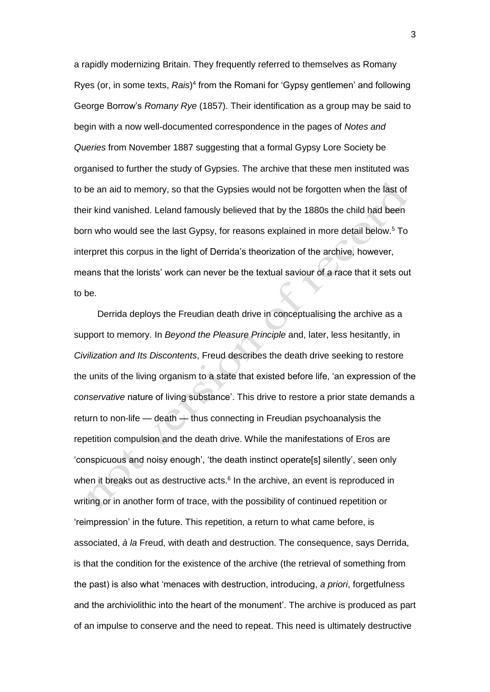a rapidly modernizing Britain. They frequently referred to themselves as Romany Ryes (or, in some texts, Rais)<sup>4</sup> from the Romani for 'Gypsy gentlemen' and following George Borrow's *Romany Rye* (1857). Their identification as a group may be said to begin with a now well-documented correspondence in the pages of *Notes and Queries* from November 1887 suggesting that a formal Gypsy Lore Society be organised to further the study of Gypsies. The archive that these men instituted was to be an aid to memory, so that the Gypsies would not be forgotten when the last of their kind vanished. Leland famously believed that by the 1880s the child had been born who would see the last Gypsy, for reasons explained in more detail below.<sup>5</sup> To interpret this corpus in the light of Derrida's theorization of the archive, however, means that the lorists' work can never be the textual saviour of a race that it sets out to be.

Derrida deploys the Freudian death drive in conceptualising the archive as a support to memory. In *Beyond the Pleasure Principle* and, later, less hesitantly, in *Civilization and Its Discontents*, Freud describes the death drive seeking to restore the units of the living organism to a state that existed before life, 'an expression of the *conservative* nature of living substance'. This drive to restore a prior state demands a return to non-life  $-$  death  $+$  thus connecting in Freudian psychoanalysis the repetition compulsion and the death drive. While the manifestations of Eros are 'conspicuous and noisy enough', 'the death instinct operate[s] silently', seen only when it breaks out as destructive acts.<sup>6</sup> In the archive, an event is reproduced in writing or in another form of trace, with the possibility of continued repetition or 'reimpression' in the future. This repetition, a return to what came before, is associated, *à la* Freud, with death and destruction. The consequence, says Derrida, is that the condition for the existence of the archive (the retrieval of something from the past) is also what 'menaces with destruction, introducing, *a priori*, forgetfulness and the archiviolithic into the heart of the monument'. The archive is produced as part of an impulse to conserve and the need to repeat. This need is ultimately destructive

3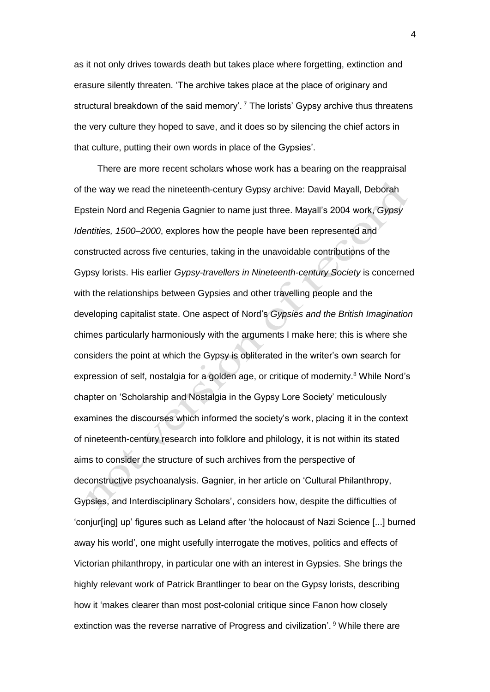as it not only drives towards death but takes place where forgetting, extinction and erasure silently threaten. 'The archive takes place at the place of originary and structural breakdown of the said memory'.<sup>7</sup> The lorists' Gypsy archive thus threatens the very culture they hoped to save, and it does so by silencing the chief actors in that culture, putting their own words in place of the Gypsies'.

There are more recent scholars whose work has a bearing on the reappraisal of the way we read the nineteenth-century Gypsy archive: David Mayall, Deborah Epstein Nord and Regenia Gagnier to name just three. Mayall's 2004 work, *Gypsy Identities, 1500–2000*, explores how the people have been represented and constructed across five centuries, taking in the unavoidable contributions of the Gypsy lorists. His earlier *Gypsy-travellers in Nineteenth-century Society* is concerned with the relationships between Gypsies and other travelling people and the developing capitalist state. One aspect of Nord's *Gypsies and the British Imagination* chimes particularly harmoniously with the arguments I make here; this is where she considers the point at which the Gypsy is obliterated in the writer's own search for expression of self, nostalgia for a golden age, or critique of modernity.<sup>8</sup> While Nord's chapter on 'Scholarship and Nostalgia in the Gypsy Lore Society' meticulously examines the discourses which informed the society's work, placing it in the context of nineteenth-century research into folklore and philology, it is not within its stated aims to consider the structure of such archives from the perspective of deconstructive psychoanalysis. Gagnier, in her article on 'Cultural Philanthropy, Gypsies, and Interdisciplinary Scholars', considers how, despite the difficulties of 'conjur[ing] up' figures such as Leland after 'the holocaust of Nazi Science [...] burned away his world', one might usefully interrogate the motives, politics and effects of Victorian philanthropy, in particular one with an interest in Gypsies. She brings the highly relevant work of Patrick Brantlinger to bear on the Gypsy lorists, describing how it 'makes clearer than most post-colonial critique since Fanon how closely extinction was the reverse narrative of Progress and civilization'. <sup>9</sup> While there are

4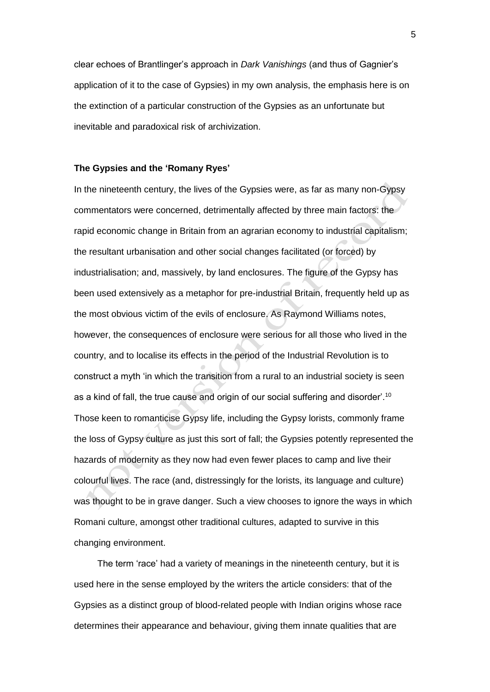clear echoes of Brantlinger's approach in *Dark Vanishings* (and thus of Gagnier's application of it to the case of Gypsies) in my own analysis, the emphasis here is on the extinction of a particular construction of the Gypsies as an unfortunate but inevitable and paradoxical risk of archivization.

## **The Gypsies and the 'Romany Ryes'**

In the nineteenth century, the lives of the Gypsies were, as far as many non-Gypsy commentators were concerned, detrimentally affected by three main factors: the rapid economic change in Britain from an agrarian economy to industrial capitalism; the resultant urbanisation and other social changes facilitated (or forced) by industrialisation; and, massively, by land enclosures. The figure of the Gypsy has been used extensively as a metaphor for pre-industrial Britain, frequently held up as the most obvious victim of the evils of enclosure. As Raymond Williams notes, however, the consequences of enclosure were serious for all those who lived in the country, and to localise its effects in the period of the Industrial Revolution is to construct a myth 'in which the transition from a rural to an industrial society is seen as a kind of fall, the true cause and origin of our social suffering and disorder'.<sup>10</sup> Those keen to romanticise Gypsy life, including the Gypsy lorists, commonly frame the loss of Gypsy culture as just this sort of fall; the Gypsies potently represented the hazards of modernity as they now had even fewer places to camp and live their colourful lives. The race (and, distressingly for the lorists, its language and culture) was thought to be in grave danger. Such a view chooses to ignore the ways in which Romani culture, amongst other traditional cultures, adapted to survive in this changing environment.

The term 'race' had a variety of meanings in the nineteenth century, but it is used here in the sense employed by the writers the article considers: that of the Gypsies as a distinct group of blood-related people with Indian origins whose race determines their appearance and behaviour, giving them innate qualities that are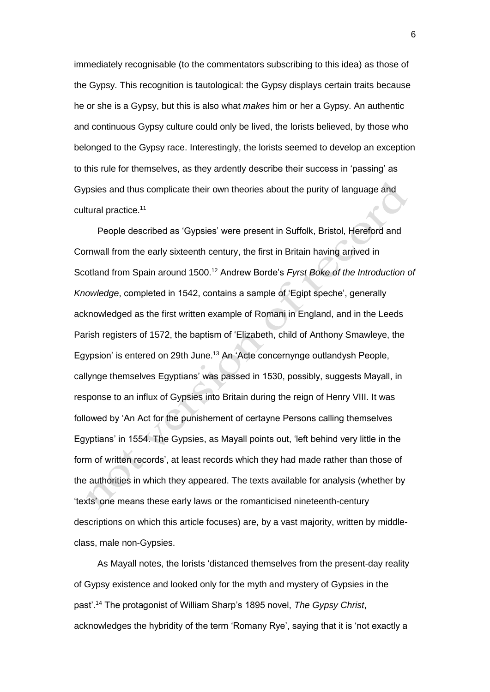immediately recognisable (to the commentators subscribing to this idea) as those of the Gypsy. This recognition is tautological: the Gypsy displays certain traits because he or she is a Gypsy, but this is also what *makes* him or her a Gypsy. An authentic and continuous Gypsy culture could only be lived, the lorists believed, by those who belonged to the Gypsy race. Interestingly, the lorists seemed to develop an exception to this rule for themselves, as they ardently describe their success in 'passing' as Gypsies and thus complicate their own theories about the purity of language and cultural practice. 11

People described as 'Gypsies' were present in Suffolk, Bristol, Hereford and Cornwall from the early sixteenth century, the first in Britain having arrived in Scotland from Spain around 1500.<sup>12</sup> Andrew Borde's *Fyrst Boke of the Introduction of Knowledge*, completed in 1542, contains a sample of 'Egipt speche', generally acknowledged as the first written example of Romani in England, and in the Leeds Parish registers of 1572, the baptism of 'Elizabeth, child of Anthony Smawleye, the Egypsion' is entered on 29th June.<sup>13</sup> An 'Acte concernynge outlandysh People, callynge themselves Egyptians' was passed in 1530, possibly, suggests Mayall, in response to an influx of Gypsies into Britain during the reign of Henry VIII. It was followed by 'An Act for the punishement of certayne Persons calling themselves Egyptians' in 1554. The Gypsies, as Mayall points out, 'left behind very little in the form of written records', at least records which they had made rather than those of the authorities in which they appeared. The texts available for analysis (whether by 'texts' one means these early laws or the romanticised nineteenth-century descriptions on which this article focuses) are, by a vast majority, written by middleclass, male non-Gypsies.

As Mayall notes, the lorists 'distanced themselves from the present-day reality of Gypsy existence and looked only for the myth and mystery of Gypsies in the past'.<sup>14</sup> The protagonist of William Sharp's 1895 novel, *The Gypsy Christ*, acknowledges the hybridity of the term 'Romany Rye', saying that it is 'not exactly a

6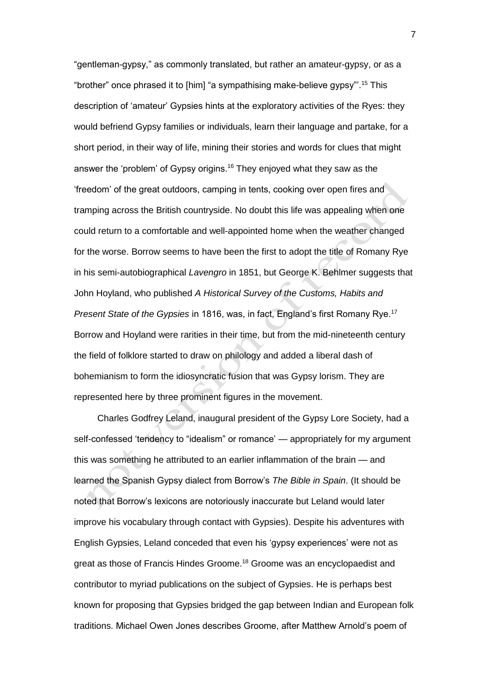"gentleman-gypsy," as commonly translated, but rather an amateur-gypsy, or as a "brother" once phrased it to [him] "a sympathising make-believe gypsy"'.<sup>15</sup> This description of 'amateur' Gypsies hints at the exploratory activities of the Ryes: they would befriend Gypsy families or individuals, learn their language and partake, for a short period, in their way of life, mining their stories and words for clues that might answer the 'problem' of Gypsy origins.<sup>16</sup> They enjoyed what they saw as the 'freedom' of the great outdoors, camping in tents, cooking over open fires and tramping across the British countryside. No doubt this life was appealing when one could return to a comfortable and well-appointed home when the weather changed for the worse. Borrow seems to have been the first to adopt the title of Romany Rye in his semi-autobiographical *Lavengro* in 1851, but George K. Behlmer suggests that John Hoyland, who published *A Historical Survey of the Customs, Habits and Present State of the Gypsies* in 1816, was, in fact, England's first Romany Rye.<sup>17</sup> Borrow and Hoyland were rarities in their time, but from the mid-nineteenth century the field of folklore started to draw on philology and added a liberal dash of bohemianism to form the idiosyncratic fusion that was Gypsy lorism. They are represented here by three prominent figures in the movement.

Charles Godfrey Leland, inaugural president of the Gypsy Lore Society, had a self-confessed 'tendency to "idealism" or romance' — appropriately for my argument this was something he attributed to an earlier inflammation of the brain — and learned the Spanish Gypsy dialect from Borrow's *The Bible in Spain*. (It should be noted that Borrow's lexicons are notoriously inaccurate but Leland would later improve his vocabulary through contact with Gypsies). Despite his adventures with English Gypsies, Leland conceded that even his 'gypsy experiences' were not as great as those of Francis Hindes Groome. <sup>18</sup> Groome was an encyclopaedist and contributor to myriad publications on the subject of Gypsies. He is perhaps best known for proposing that Gypsies bridged the gap between Indian and European folk traditions. Michael Owen Jones describes Groome, after Matthew Arnold's poem of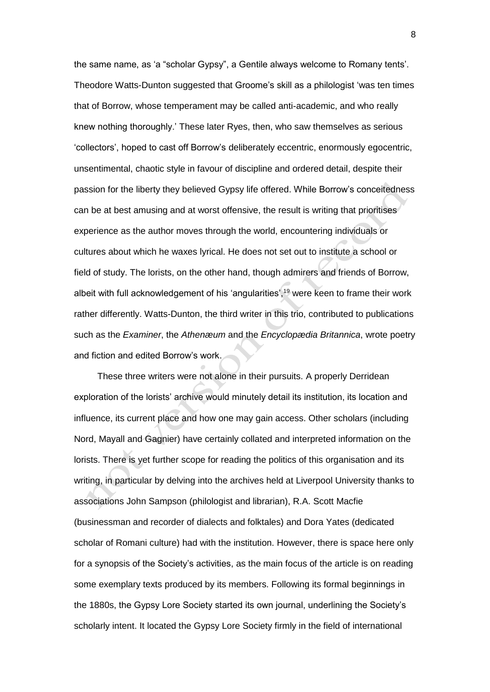the same name, as 'a "scholar Gypsy", a Gentile always welcome to Romany tents'. Theodore Watts-Dunton suggested that Groome's skill as a philologist 'was ten times that of Borrow, whose temperament may be called anti-academic, and who really knew nothing thoroughly.' These later Ryes, then, who saw themselves as serious 'collectors', hoped to cast off Borrow's deliberately eccentric, enormously egocentric, unsentimental, chaotic style in favour of discipline and ordered detail, despite their passion for the liberty they believed Gypsy life offered. While Borrow's conceitedness can be at best amusing and at worst offensive, the result is writing that prioritises experience as the author moves through the world, encountering individuals or cultures about which he waxes lyrical. He does not set out to institute a school or field of study. The lorists, on the other hand, though admirers and friends of Borrow, albeit with full acknowledgement of his 'angularities',<sup>19</sup> were keen to frame their work rather differently. Watts-Dunton, the third writer in this trio, contributed to publications such as the *Examiner*, the *Athenæum* and the *Encyclopædia Britannica*, wrote poetry and fiction and edited Borrow's work.

These three writers were not alone in their pursuits. A properly Derridean exploration of the lorists' archive would minutely detail its institution, its location and influence, its current place and how one may gain access. Other scholars (including Nord, Mayall and Gagnier) have certainly collated and interpreted information on the lorists. There is yet further scope for reading the politics of this organisation and its writing, in particular by delving into the archives held at Liverpool University thanks to associations John Sampson (philologist and librarian), R.A. Scott Macfie (businessman and recorder of dialects and folktales) and Dora Yates (dedicated scholar of Romani culture) had with the institution. However, there is space here only for a synopsis of the Society's activities, as the main focus of the article is on reading some exemplary texts produced by its members. Following its formal beginnings in the 1880s, the Gypsy Lore Society started its own journal, underlining the Society's scholarly intent. It located the Gypsy Lore Society firmly in the field of international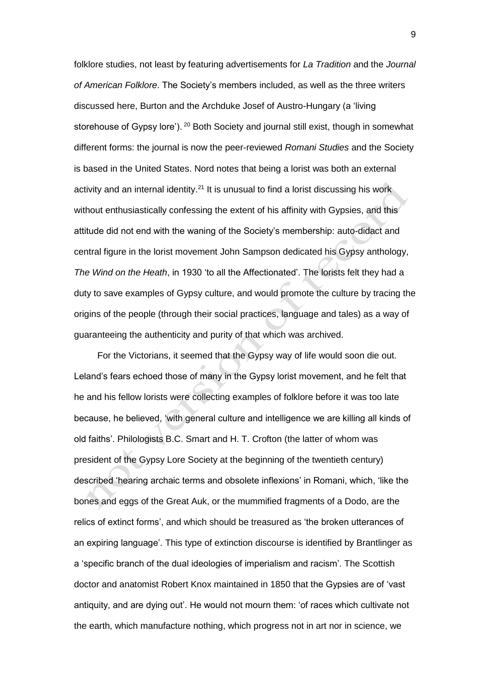folklore studies, not least by featuring advertisements for *La Tradition* and the *Journal of American Folklore*. The Society's members included, as well as the three writers discussed here, Burton and the Archduke Josef of Austro-Hungary (a 'living storehouse of Gypsy lore'). <sup>20</sup> Both Society and journal still exist, though in somewhat different forms: the journal is now the peer-reviewed *Romani Studies* and the Society is based in the United States. Nord notes that being a lorist was both an external activity and an internal identity.<sup>21</sup> It is unusual to find a lorist discussing his work without enthusiastically confessing the extent of his affinity with Gypsies, and this attitude did not end with the waning of the Society's membership: auto-didact and central figure in the lorist movement John Sampson dedicated his Gypsy anthology, *The Wind on the Heath*, in 1930 'to all the Affectionated'. The lorists felt they had a duty to save examples of Gypsy culture, and would promote the culture by tracing the origins of the people (through their social practices, language and tales) as a way of guaranteeing the authenticity and purity of that which was archived.

For the Victorians, it seemed that the Gypsy way of life would soon die out. Leland's fears echoed those of many in the Gypsy lorist movement, and he felt that he and his fellow lorists were collecting examples of folklore before it was too late because, he believed, 'with general culture and intelligence we are killing all kinds of old faiths'. Philologists B.C. Smart and H. T. Crofton (the latter of whom was president of the Gypsy Lore Society at the beginning of the twentieth century) described 'hearing archaic terms and obsolete inflexions' in Romani, which, 'like the bones and eggs of the Great Auk, or the mummified fragments of a Dodo, are the relics of extinct forms', and which should be treasured as 'the broken utterances of an expiring language'. This type of extinction discourse is identified by Brantlinger as a 'specific branch of the dual ideologies of imperialism and racism'. The Scottish doctor and anatomist Robert Knox maintained in 1850 that the Gypsies are of 'vast antiquity, and are dying out'. He would not mourn them: 'of races which cultivate not the earth, which manufacture nothing, which progress not in art nor in science, we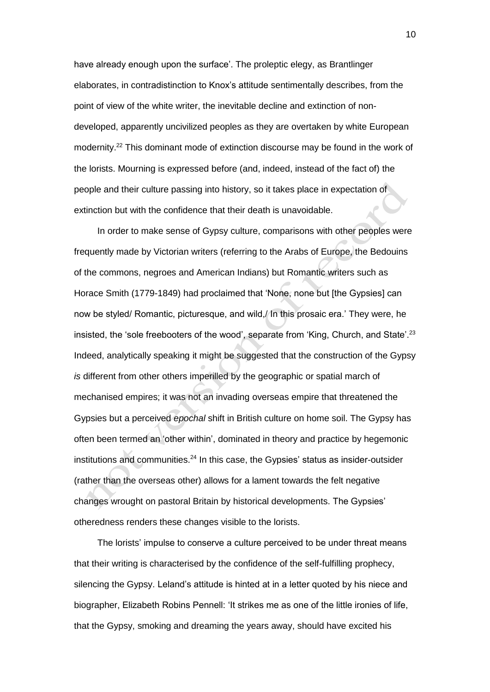have already enough upon the surface'. The proleptic elegy, as Brantlinger elaborates, in contradistinction to Knox's attitude sentimentally describes, from the point of view of the white writer, the inevitable decline and extinction of nondeveloped, apparently uncivilized peoples as they are overtaken by white European modernity.<sup>22</sup> This dominant mode of extinction discourse may be found in the work of the lorists. Mourning is expressed before (and, indeed, instead of the fact of) the people and their culture passing into history, so it takes place in expectation of extinction but with the confidence that their death is unavoidable.

In order to make sense of Gypsy culture, comparisons with other peoples were frequently made by Victorian writers (referring to the Arabs of Europe, the Bedouins of the commons, negroes and American Indians) but Romantic writers such as Horace Smith (1779-1849) had proclaimed that 'None, none but [the Gypsies] can now be styled/ Romantic, picturesque, and wild,/ In this prosaic era.' They were, he insisted, the 'sole freebooters of the wood', separate from 'King, Church, and State'.<sup>23</sup> Indeed, analytically speaking it might be suggested that the construction of the Gypsy *is* different from other others imperilled by the geographic or spatial march of mechanised empires; it was not an invading overseas empire that threatened the Gypsies but a perceived *epochal* shift in British culture on home soil. The Gypsy has often been termed an 'other within', dominated in theory and practice by hegemonic institutions and communities.<sup>24</sup> In this case, the Gypsies' status as insider-outsider (rather than the overseas other) allows for a lament towards the felt negative changes wrought on pastoral Britain by historical developments. The Gypsies' otheredness renders these changes visible to the lorists.

The lorists' impulse to conserve a culture perceived to be under threat means that their writing is characterised by the confidence of the self-fulfilling prophecy, silencing the Gypsy. Leland's attitude is hinted at in a letter quoted by his niece and biographer, Elizabeth Robins Pennell: 'It strikes me as one of the little ironies of life, that the Gypsy, smoking and dreaming the years away, should have excited his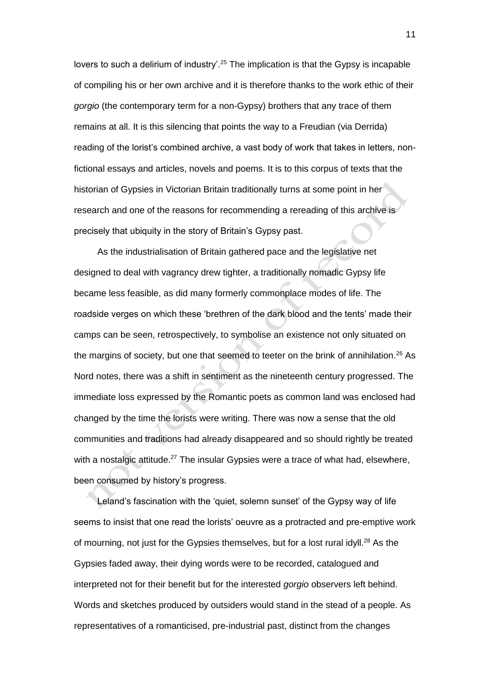lovers to such a delirium of industry'.<sup>25</sup> The implication is that the Gypsy is incapable of compiling his or her own archive and it is therefore thanks to the work ethic of their *gorgio* (the contemporary term for a non-Gypsy) brothers that any trace of them remains at all. It is this silencing that points the way to a Freudian (via Derrida) reading of the lorist's combined archive, a vast body of work that takes in letters, nonfictional essays and articles, novels and poems. It is to this corpus of texts that the historian of Gypsies in Victorian Britain traditionally turns at some point in her research and one of the reasons for recommending a rereading of this archive is precisely that ubiquity in the story of Britain's Gypsy past.

As the industrialisation of Britain gathered pace and the legislative net designed to deal with vagrancy drew tighter, a traditionally nomadic Gypsy life became less feasible, as did many formerly commonplace modes of life. The roadside verges on which these 'brethren of the dark blood and the tents' made their camps can be seen, retrospectively, to symbolise an existence not only situated on the margins of society, but one that seemed to teeter on the brink of annihilation.<sup>26</sup> As Nord notes, there was a shift in sentiment as the nineteenth century progressed. The immediate loss expressed by the Romantic poets as common land was enclosed had changed by the time the lorists were writing. There was now a sense that the old communities and traditions had already disappeared and so should rightly be treated with a nostalgic attitude.<sup>27</sup> The insular Gypsies were a trace of what had, elsewhere, been consumed by history's progress.

Leland's fascination with the 'quiet, solemn sunset' of the Gypsy way of life seems to insist that one read the lorists' oeuvre as a protracted and pre-emptive work of mourning, not just for the Gypsies themselves, but for a lost rural idyll.<sup>28</sup> As the Gypsies faded away, their dying words were to be recorded, catalogued and interpreted not for their benefit but for the interested *gorgio* observers left behind. Words and sketches produced by outsiders would stand in the stead of a people. As representatives of a romanticised, pre-industrial past, distinct from the changes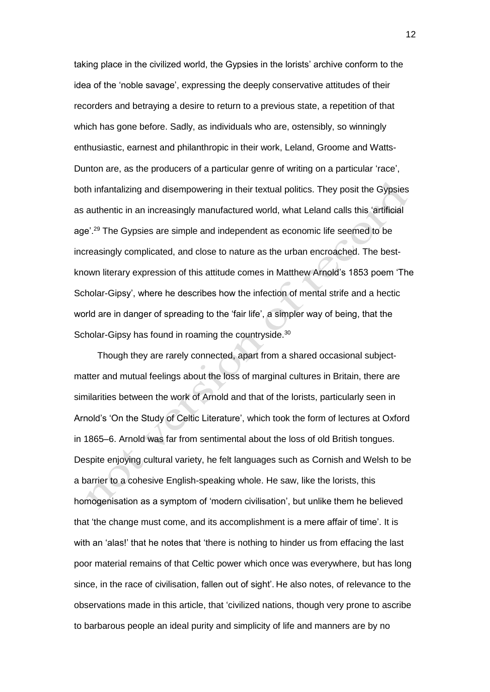taking place in the civilized world, the Gypsies in the lorists' archive conform to the idea of the 'noble savage', expressing the deeply conservative attitudes of their recorders and betraying a desire to return to a previous state, a repetition of that which has gone before. Sadly, as individuals who are, ostensibly, so winningly enthusiastic, earnest and philanthropic in their work, Leland, Groome and Watts-Dunton are, as the producers of a particular genre of writing on a particular 'race', both infantalizing and disempowering in their textual politics. They posit the Gypsies as authentic in an increasingly manufactured world, what Leland calls this 'artificial age'.<sup>29</sup> The Gypsies are simple and independent as economic life seemed to be increasingly complicated, and close to nature as the urban encroached. The bestknown literary expression of this attitude comes in Matthew Arnold's 1853 poem 'The Scholar-Gipsy', where he describes how the infection of mental strife and a hectic world are in danger of spreading to the 'fair life', a simpler way of being, that the Scholar-Gipsy has found in roaming the countryside.<sup>30</sup>

Though they are rarely connected, apart from a shared occasional subjectmatter and mutual feelings about the loss of marginal cultures in Britain, there are similarities between the work of Arnold and that of the lorists, particularly seen in Arnold's 'On the Study of Celtic Literature', which took the form of lectures at Oxford in 1865–6. Arnold was far from sentimental about the loss of old British tongues. Despite enjoying cultural variety, he felt languages such as Cornish and Welsh to be a barrier to a cohesive English-speaking whole. He saw, like the lorists, this homogenisation as a symptom of 'modern civilisation', but unlike them he believed that 'the change must come, and its accomplishment is a mere affair of time'. It is with an 'alas!' that he notes that 'there is nothing to hinder us from effacing the last poor material remains of that Celtic power which once was everywhere, but has long since, in the race of civilisation, fallen out of sight'. He also notes, of relevance to the observations made in this article, that 'civilized nations, though very prone to ascribe to barbarous people an ideal purity and simplicity of life and manners are by no

12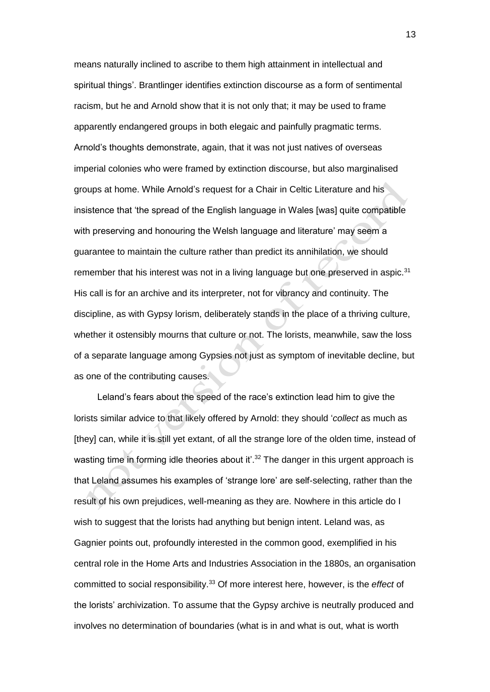means naturally inclined to ascribe to them high attainment in intellectual and spiritual things'. Brantlinger identifies extinction discourse as a form of sentimental racism, but he and Arnold show that it is not only that; it may be used to frame apparently endangered groups in both elegaic and painfully pragmatic terms. Arnold's thoughts demonstrate, again, that it was not just natives of overseas imperial colonies who were framed by extinction discourse, but also marginalised groups at home. While Arnold's request for a Chair in Celtic Literature and his insistence that 'the spread of the English language in Wales [was] quite compatible with preserving and honouring the Welsh language and literature' may seem a guarantee to maintain the culture rather than predict its annihilation, we should remember that his interest was not in a living language but one preserved in aspic. $31$ His call is for an archive and its interpreter, not for vibrancy and continuity. The discipline, as with Gypsy lorism, deliberately stands in the place of a thriving culture, whether it ostensibly mourns that culture or not. The lorists, meanwhile, saw the loss of a separate language among Gypsies not just as symptom of inevitable decline, but as one of the contributing causes.

Leland's fears about the speed of the race's extinction lead him to give the lorists similar advice to that likely offered by Arnold: they should '*collect* as much as [they] can, while it is still yet extant, of all the strange lore of the olden time, instead of wasting time in forming idle theories about it'.<sup>32</sup> The danger in this urgent approach is that Leland assumes his examples of 'strange lore' are self-selecting, rather than the result of his own prejudices, well-meaning as they are. Nowhere in this article do I wish to suggest that the lorists had anything but benign intent. Leland was, as Gagnier points out, profoundly interested in the common good, exemplified in his central role in the Home Arts and Industries Association in the 1880s, an organisation committed to social responsibility.<sup>33</sup> Of more interest here, however, is the *effect* of the lorists' archivization. To assume that the Gypsy archive is neutrally produced and involves no determination of boundaries (what is in and what is out, what is worth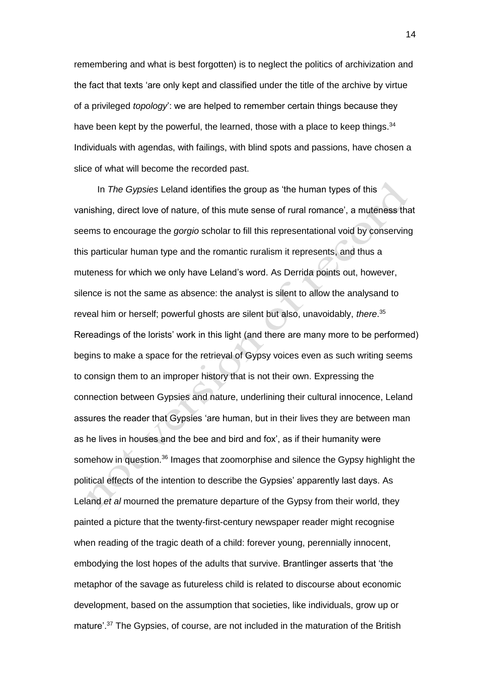remembering and what is best forgotten) is to neglect the politics of archivization and the fact that texts 'are only kept and classified under the title of the archive by virtue of a privileged *topology*': we are helped to remember certain things because they have been kept by the powerful, the learned, those with a place to keep things.<sup>34</sup> Individuals with agendas, with failings, with blind spots and passions, have chosen a slice of what will become the recorded past.

In *The Gypsies* Leland identifies the group as 'the human types of this vanishing, direct love of nature, of this mute sense of rural romance', a muteness that seems to encourage the *gorgio* scholar to fill this representational void by conserving this particular human type and the romantic ruralism it represents, and thus a muteness for which we only have Leland's word. As Derrida points out, however, silence is not the same as absence: the analyst is silent to allow the analysand to reveal him or herself; powerful ghosts are silent but also, unavoidably, *there*. 35 Rereadings of the lorists' work in this light (and there are many more to be performed) begins to make a space for the retrieval of Gypsy voices even as such writing seems to consign them to an improper history that is not their own. Expressing the connection between Gypsies and nature, underlining their cultural innocence, Leland assures the reader that Gypsies 'are human, but in their lives they are between man as he lives in houses and the bee and bird and fox', as if their humanity were somehow in question.<sup>36</sup> Images that zoomorphise and silence the Gypsy highlight the political effects of the intention to describe the Gypsies' apparently last days. As Leland *et al* mourned the premature departure of the Gypsy from their world, they painted a picture that the twenty-first-century newspaper reader might recognise when reading of the tragic death of a child: forever young, perennially innocent, embodying the lost hopes of the adults that survive. Brantlinger asserts that 'the metaphor of the savage as futureless child is related to discourse about economic development, based on the assumption that societies, like individuals, grow up or mature'.<sup>37</sup> The Gypsies, of course, are not included in the maturation of the British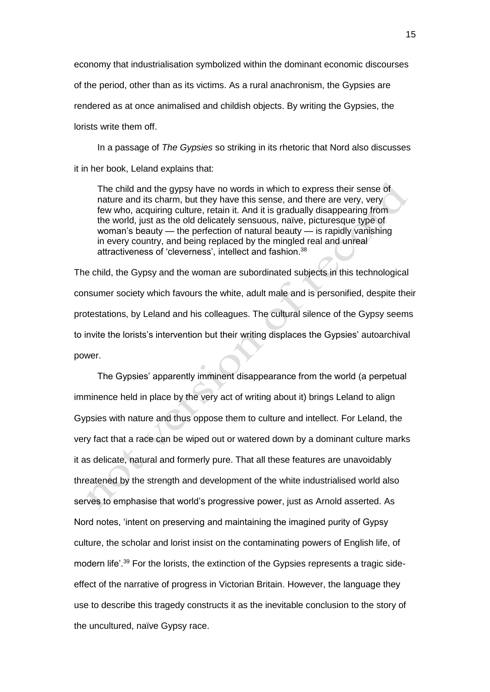economy that industrialisation symbolized within the dominant economic discourses of the period, other than as its victims. As a rural anachronism, the Gypsies are rendered as at once animalised and childish objects. By writing the Gypsies, the lorists write them off.

In a passage of *The Gypsies* so striking in its rhetoric that Nord also discusses it in her book, Leland explains that:

The child and the gypsy have no words in which to express their sense of nature and its charm, but they have this sense, and there are very, very few who, acquiring culture, retain it. And it is gradually disappearing from the world, just as the old delicately sensuous, naïve, picturesque type of woman's beauty — the perfection of natural beauty — is rapidly vanishing in every country, and being replaced by the mingled real and unreal attractiveness of 'cleverness', intellect and fashion.<sup>38</sup>

The child, the Gypsy and the woman are subordinated subjects in this technological consumer society which favours the white, adult male and is personified, despite their protestations, by Leland and his colleagues. The cultural silence of the Gypsy seems to invite the lorists's intervention but their writing displaces the Gypsies' autoarchival power.

The Gypsies' apparently imminent disappearance from the world (a perpetual imminence held in place by the very act of writing about it) brings Leland to align Gypsies with nature and thus oppose them to culture and intellect. For Leland, the very fact that a race can be wiped out or watered down by a dominant culture marks it as delicate, natural and formerly pure. That all these features are unavoidably threatened by the strength and development of the white industrialised world also serves to emphasise that world's progressive power, just as Arnold asserted. As Nord notes, 'intent on preserving and maintaining the imagined purity of Gypsy culture, the scholar and lorist insist on the contaminating powers of English life, of modern life'.<sup>39</sup> For the lorists, the extinction of the Gypsies represents a tragic sideeffect of the narrative of progress in Victorian Britain. However, the language they use to describe this tragedy constructs it as the inevitable conclusion to the story of the uncultured, naïve Gypsy race.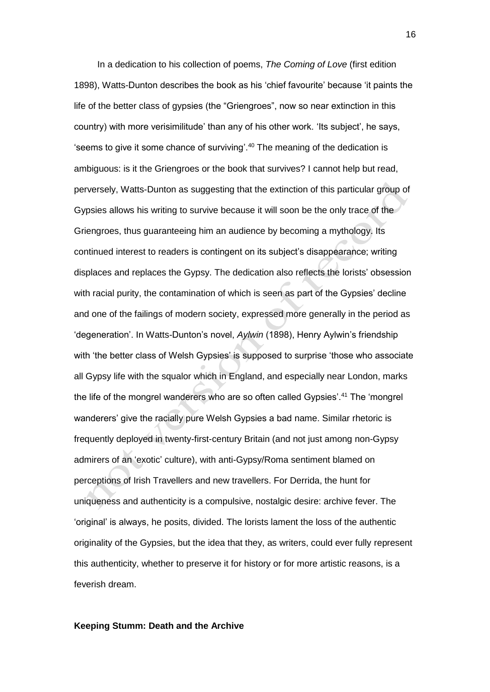In a dedication to his collection of poems, *The Coming of Love* (first edition 1898), Watts-Dunton describes the book as his 'chief favourite' because 'it paints the life of the better class of gypsies (the "Griengroes", now so near extinction in this country) with more verisimilitude' than any of his other work. 'Its subject', he says, 'seems to give it some chance of surviving'. $40$  The meaning of the dedication is ambiguous: is it the Griengroes or the book that survives? I cannot help but read, perversely, Watts-Dunton as suggesting that the extinction of this particular group of Gypsies allows his writing to survive because it will soon be the only trace of the Griengroes, thus guaranteeing him an audience by becoming a mythology. Its continued interest to readers is contingent on its subject's disappearance; writing displaces and replaces the Gypsy. The dedication also reflects the lorists' obsession with racial purity, the contamination of which is seen as part of the Gypsies' decline and one of the failings of modern society, expressed more generally in the period as 'degeneration'. In Watts-Dunton's novel, *Aylwin* (1898), Henry Aylwin's friendship with 'the better class of Welsh Gypsies' is supposed to surprise 'those who associate all Gypsy life with the squalor which in England, and especially near London, marks the life of the mongrel wanderers who are so often called Gypsies'.<sup>41</sup> The 'mongrel wanderers' give the racially pure Welsh Gypsies a bad name. Similar rhetoric is frequently deployed in twenty-first-century Britain (and not just among non-Gypsy admirers of an 'exotic' culture), with anti-Gypsy/Roma sentiment blamed on perceptions of Irish Travellers and new travellers. For Derrida, the hunt for uniqueness and authenticity is a compulsive, nostalgic desire: archive fever. The 'original' is always, he posits, divided. The lorists lament the loss of the authentic originality of the Gypsies, but the idea that they, as writers, could ever fully represent this authenticity, whether to preserve it for history or for more artistic reasons, is a feverish dream.

### **Keeping Stumm: Death and the Archive**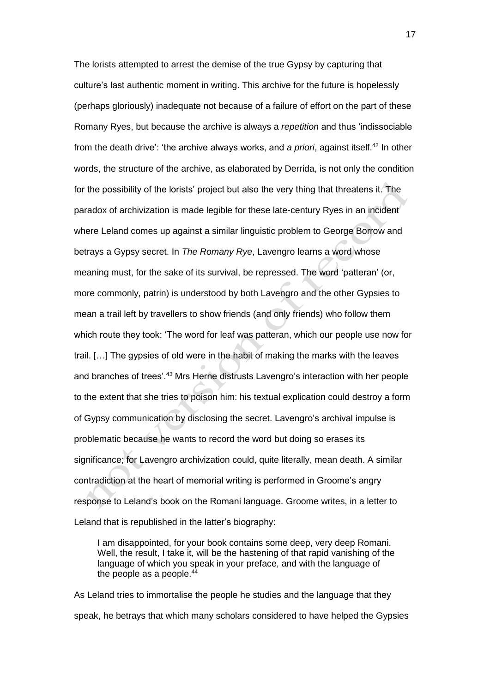The lorists attempted to arrest the demise of the true Gypsy by capturing that culture's last authentic moment in writing. This archive for the future is hopelessly (perhaps gloriously) inadequate not because of a failure of effort on the part of these Romany Ryes, but because the archive is always a *repetition* and thus 'indissociable from the death drive': 'the archive always works, and *a priori*, against itself.<sup>42</sup> In other words, the structure of the archive, as elaborated by Derrida, is not only the condition for the possibility of the lorists' project but also the very thing that threatens it. The paradox of archivization is made legible for these late-century Ryes in an incident where Leland comes up against a similar linguistic problem to George Borrow and betrays a Gypsy secret. In *The Romany Rye*, Lavengro learns a word whose meaning must, for the sake of its survival, be repressed. The word 'patteran' (or, more commonly, patrin) is understood by both Lavengro and the other Gypsies to mean a trail left by travellers to show friends (and only friends) who follow them which route they took: 'The word for leaf was patteran, which our people use now for trail. […] The gypsies of old were in the habit of making the marks with the leaves and branches of trees'.<sup>43</sup> Mrs Herne distrusts Lavengro's interaction with her people to the extent that she tries to poison him: his textual explication could destroy a form of Gypsy communication by disclosing the secret. Lavengro's archival impulse is problematic because he wants to record the word but doing so erases its significance; for Lavengro archivization could, quite literally, mean death. A similar contradiction at the heart of memorial writing is performed in Groome's angry response to Leland's book on the Romani language. Groome writes, in a letter to Leland that is republished in the latter's biography:

I am disappointed, for your book contains some deep, very deep Romani. Well, the result, I take it, will be the hastening of that rapid vanishing of the language of which you speak in your preface, and with the language of the people as a people. $44$ 

As Leland tries to immortalise the people he studies and the language that they speak, he betrays that which many scholars considered to have helped the Gypsies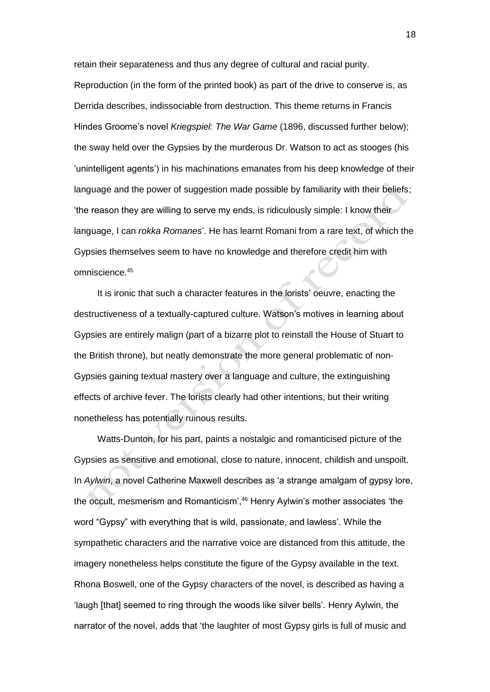retain their separateness and thus any degree of cultural and racial purity. Reproduction (in the form of the printed book) as part of the drive to conserve is, as Derrida describes, indissociable from destruction. This theme returns in Francis Hindes Groome's novel *Kriegspiel: The War Game* (1896, discussed further below); the sway held over the Gypsies by the murderous Dr. Watson to act as stooges (his 'unintelligent agents') in his machinations emanates from his deep knowledge of their language and the power of suggestion made possible by familiarity with their beliefs; 'the reason they are willing to serve my ends, is ridiculously simple: I know their language, I can *rokka Romanes*'. He has learnt Romani from a rare text, of which the Gypsies themselves seem to have no knowledge and therefore credit him with omniscience.<sup>45</sup>

It is ironic that such a character features in the lorists' oeuvre, enacting the destructiveness of a textually-captured culture. Watson's motives in learning about Gypsies are entirely malign (part of a bizarre plot to reinstall the House of Stuart to the British throne), but neatly demonstrate the more general problematic of non-Gypsies gaining textual mastery over a language and culture, the extinguishing effects of archive fever. The lorists clearly had other intentions, but their writing nonetheless has potentially ruinous results.

Watts-Dunton, for his part, paints a nostalgic and romanticised picture of the Gypsies as sensitive and emotional, close to nature, innocent, childish and unspoilt. In *Aylwin*, a novel Catherine Maxwell describes as 'a strange amalgam of gypsy lore, the occult, mesmerism and Romanticism',<sup>46</sup> Henry Aylwin's mother associates 'the word "Gypsy" with everything that is wild, passionate, and lawless'. While the sympathetic characters and the narrative voice are distanced from this attitude, the imagery nonetheless helps constitute the figure of the Gypsy available in the text. Rhona Boswell, one of the Gypsy characters of the novel, is described as having a 'laugh [that] seemed to ring through the woods like silver bells'. Henry Aylwin, the narrator of the novel, adds that 'the laughter of most Gypsy girls is full of music and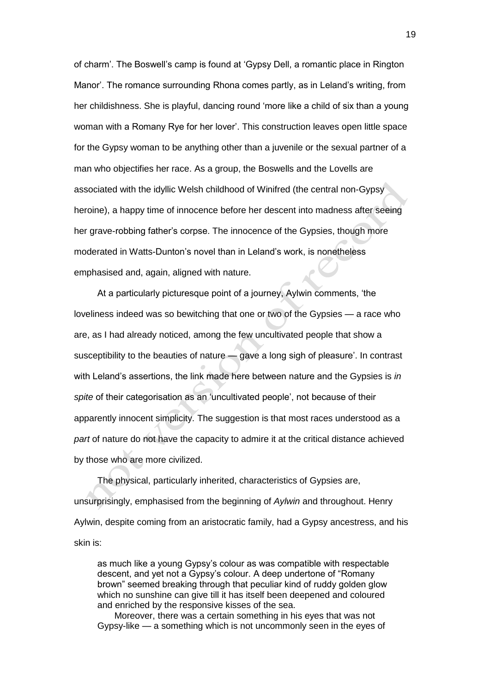of charm'. The Boswell's camp is found at 'Gypsy Dell, a romantic place in Rington Manor'. The romance surrounding Rhona comes partly, as in Leland's writing, from her childishness. She is playful, dancing round 'more like a child of six than a young woman with a Romany Rye for her lover'. This construction leaves open little space for the Gypsy woman to be anything other than a juvenile or the sexual partner of a man who objectifies her race. As a group, the Boswells and the Lovells are associated with the idyllic Welsh childhood of Winifred (the central non-Gypsy heroine), a happy time of innocence before her descent into madness after seeing her grave-robbing father's corpse. The innocence of the Gypsies, though more moderated in Watts-Dunton's novel than in Leland's work, is nonetheless emphasised and, again, aligned with nature.

At a particularly picturesque point of a journey, Aylwin comments, 'the loveliness indeed was so bewitching that one or two of the Gypsies — a race who are, as I had already noticed, among the few uncultivated people that show a susceptibility to the beauties of nature — gave a long sigh of pleasure'. In contrast with Leland's assertions, the link made here between nature and the Gypsies is *in spite* of their categorisation as an 'uncultivated people', not because of their apparently innocent simplicity. The suggestion is that most races understood as a *part* of nature do not have the capacity to admire it at the critical distance achieved by those who are more civilized.

The physical, particularly inherited, characteristics of Gypsies are, unsurprisingly, emphasised from the beginning of *Aylwin* and throughout. Henry Aylwin, despite coming from an aristocratic family, had a Gypsy ancestress, and his skin is:

as much like a young Gypsy's colour as was compatible with respectable descent, and yet not a Gypsy's colour. A deep undertone of "Romany brown" seemed breaking through that peculiar kind of ruddy golden glow which no sunshine can give till it has itself been deepened and coloured and enriched by the responsive kisses of the sea.

Moreover, there was a certain something in his eyes that was not Gypsy-like — a something which is not uncommonly seen in the eyes of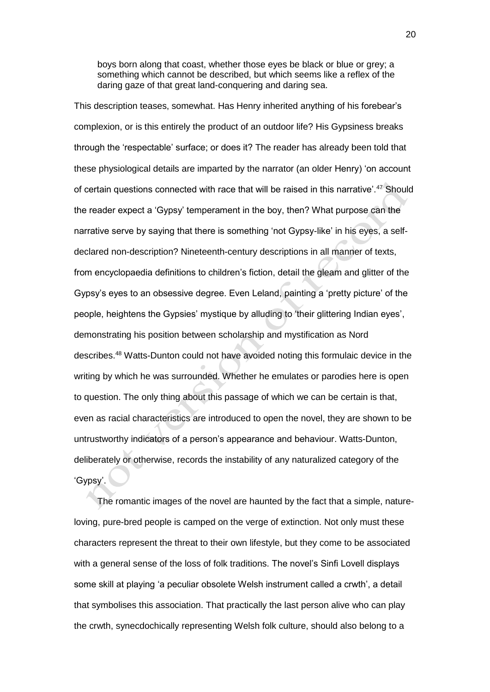boys born along that coast, whether those eyes be black or blue or grey; a something which cannot be described, but which seems like a reflex of the daring gaze of that great land-conquering and daring sea.

This description teases, somewhat. Has Henry inherited anything of his forebear's complexion, or is this entirely the product of an outdoor life? His Gypsiness breaks through the 'respectable' surface; or does it? The reader has already been told that these physiological details are imparted by the narrator (an older Henry) 'on account of certain questions connected with race that will be raised in this narrative'.<sup>47</sup> Should the reader expect a 'Gypsy' temperament in the boy, then? What purpose can the narrative serve by saying that there is something 'not Gypsy-like' in his eyes, a selfdeclared non-description? Nineteenth-century descriptions in all manner of texts, from encyclopaedia definitions to children's fiction, detail the gleam and glitter of the Gypsy's eyes to an obsessive degree. Even Leland, painting a 'pretty picture' of the people, heightens the Gypsies' mystique by alluding to 'their glittering Indian eyes', demonstrating his position between scholarship and mystification as Nord describes. <sup>48</sup> Watts-Dunton could not have avoided noting this formulaic device in the writing by which he was surrounded. Whether he emulates or parodies here is open to question. The only thing about this passage of which we can be certain is that, even as racial characteristics are introduced to open the novel, they are shown to be untrustworthy indicators of a person's appearance and behaviour. Watts-Dunton, deliberately or otherwise, records the instability of any naturalized category of the 'Gypsy'.

The romantic images of the novel are haunted by the fact that a simple, natureloving, pure-bred people is camped on the verge of extinction. Not only must these characters represent the threat to their own lifestyle, but they come to be associated with a general sense of the loss of folk traditions. The novel's Sinfi Lovell displays some skill at playing 'a peculiar obsolete Welsh instrument called a crwth', a detail that symbolises this association. That practically the last person alive who can play the crwth, synecdochically representing Welsh folk culture, should also belong to a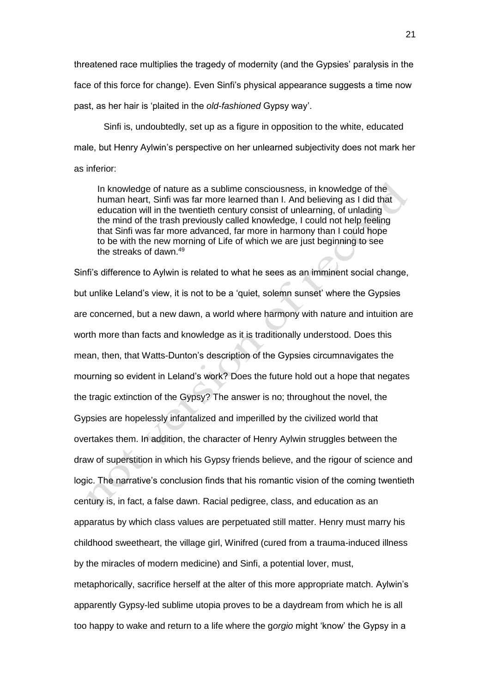threatened race multiplies the tragedy of modernity (and the Gypsies' paralysis in the face of this force for change). Even Sinfi's physical appearance suggests a time now past, as her hair is 'plaited in the *old-fashioned* Gypsy way'.

Sinfi is, undoubtedly, set up as a figure in opposition to the white, educated male, but Henry Aylwin's perspective on her unlearned subjectivity does not mark her as inferior:

In knowledge of nature as a sublime consciousness, in knowledge of the human heart, Sinfi was far more learned than I. And believing as I did that education will in the twentieth century consist of unlearning, of unlading the mind of the trash previously called knowledge, I could not help feeling that Sinfi was far more advanced, far more in harmony than I could hope to be with the new morning of Life of which we are just beginning to see the streaks of dawn.<sup>49</sup>

Sinfi's difference to Aylwin is related to what he sees as an imminent social change, but unlike Leland's view, it is not to be a 'quiet, solemn sunset' where the Gypsies are concerned, but a new dawn, a world where harmony with nature and intuition are worth more than facts and knowledge as it is traditionally understood. Does this mean, then, that Watts-Dunton's description of the Gypsies circumnavigates the mourning so evident in Leland's work? Does the future hold out a hope that negates the tragic extinction of the Gypsy? The answer is no; throughout the novel, the Gypsies are hopelessly infantalized and imperilled by the civilized world that overtakes them. In addition, the character of Henry Aylwin struggles between the draw of superstition in which his Gypsy friends believe, and the rigour of science and logic. The narrative's conclusion finds that his romantic vision of the coming twentieth century is, in fact, a false dawn. Racial pedigree, class, and education as an apparatus by which class values are perpetuated still matter. Henry must marry his childhood sweetheart, the village girl, Winifred (cured from a trauma-induced illness by the miracles of modern medicine) and Sinfi, a potential lover, must, metaphorically, sacrifice herself at the alter of this more appropriate match. Aylwin's apparently Gypsy-led sublime utopia proves to be a daydream from which he is all too happy to wake and return to a life where the g*orgio* might 'know' the Gypsy in a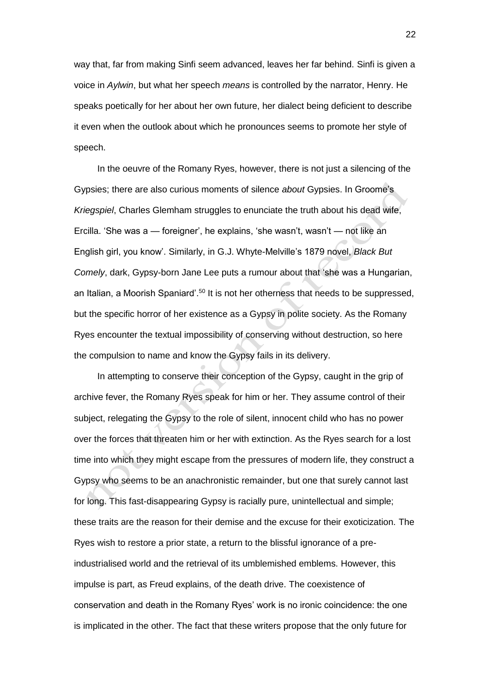way that, far from making Sinfi seem advanced, leaves her far behind. Sinfi is given a voice in *Aylwin*, but what her speech *means* is controlled by the narrator, Henry. He speaks poetically for her about her own future, her dialect being deficient to describe it even when the outlook about which he pronounces seems to promote her style of speech.

In the oeuvre of the Romany Ryes, however, there is not just a silencing of the Gypsies; there are also curious moments of silence *about* Gypsies. In Groome's *Kriegspiel*, Charles Glemham struggles to enunciate the truth about his dead wife, Ercilla. 'She was a — foreigner', he explains, 'she wasn't, wasn't — not like an English girl, you know'. Similarly, in G.J. Whyte-Melville's 1879 novel, *Black But Comely*, dark, Gypsy-born Jane Lee puts a rumour about that 'she was a Hungarian, an Italian, a Moorish Spaniard'.<sup>50</sup> It is not her otherness that needs to be suppressed, but the specific horror of her existence as a Gypsy in polite society. As the Romany Ryes encounter the textual impossibility of conserving without destruction, so here the compulsion to name and know the Gypsy fails in its delivery.

In attempting to conserve their conception of the Gypsy, caught in the grip of archive fever, the Romany Ryes speak for him or her. They assume control of their subject, relegating the Gypsy to the role of silent, innocent child who has no power over the forces that threaten him or her with extinction. As the Ryes search for a lost time into which they might escape from the pressures of modern life, they construct a Gypsy who seems to be an anachronistic remainder, but one that surely cannot last for long. This fast-disappearing Gypsy is racially pure, unintellectual and simple; these traits are the reason for their demise and the excuse for their exoticization. The Ryes wish to restore a prior state, a return to the blissful ignorance of a preindustrialised world and the retrieval of its umblemished emblems. However, this impulse is part, as Freud explains, of the death drive. The coexistence of conservation and death in the Romany Ryes' work is no ironic coincidence: the one is implicated in the other. The fact that these writers propose that the only future for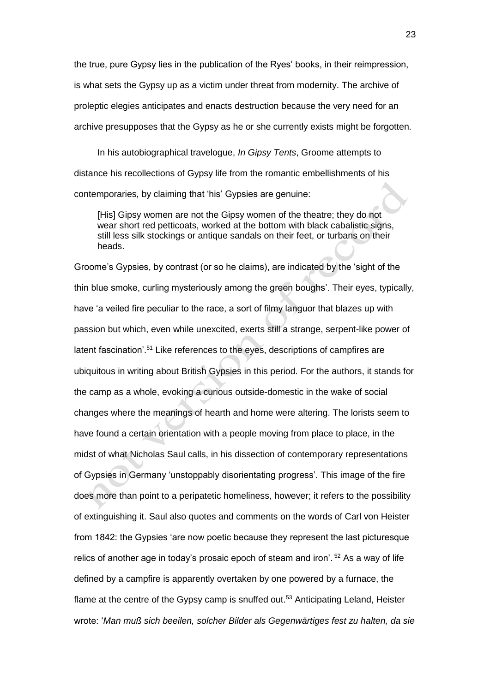the true, pure Gypsy lies in the publication of the Ryes' books, in their reimpression, is what sets the Gypsy up as a victim under threat from modernity. The archive of proleptic elegies anticipates and enacts destruction because the very need for an archive presupposes that the Gypsy as he or she currently exists might be forgotten.

In his autobiographical travelogue, *In Gipsy Tents*, Groome attempts to distance his recollections of Gypsy life from the romantic embellishments of his contemporaries, by claiming that 'his' Gypsies are genuine:

[His] Gipsy women are not the Gipsy women of the theatre; they do not wear short red petticoats, worked at the bottom with black cabalistic signs, still less silk stockings or antique sandals on their feet, or turbans on their heads.

Groome's Gypsies, by contrast (or so he claims), are indicated by the 'sight of the thin blue smoke, curling mysteriously among the green boughs'. Their eyes, typically, have 'a veiled fire peculiar to the race, a sort of filmy languor that blazes up with passion but which, even while unexcited, exerts still a strange, serpent-like power of latent fascination'.<sup>51</sup> Like references to the eyes, descriptions of campfires are ubiquitous in writing about British Gypsies in this period. For the authors, it stands for the camp as a whole, evoking a curious outside-domestic in the wake of social changes where the meanings of hearth and home were altering. The lorists seem to have found a certain orientation with a people moving from place to place, in the midst of what Nicholas Saul calls, in his dissection of contemporary representations of Gypsies in Germany 'unstoppably disorientating progress'. This image of the fire does more than point to a peripatetic homeliness, however; it refers to the possibility of extinguishing it. Saul also quotes and comments on the words of Carl von Heister from 1842: the Gypsies 'are now poetic because they represent the last picturesque relics of another age in today's prosaic epoch of steam and iron'.  $52$  As a way of life defined by a campfire is apparently overtaken by one powered by a furnace, the flame at the centre of the Gypsy camp is snuffed out.<sup>53</sup> Anticipating Leland, Heister wrote: '*Man muß sich beeilen, solcher Bilder als Gegenwärtiges fest zu halten, da sie*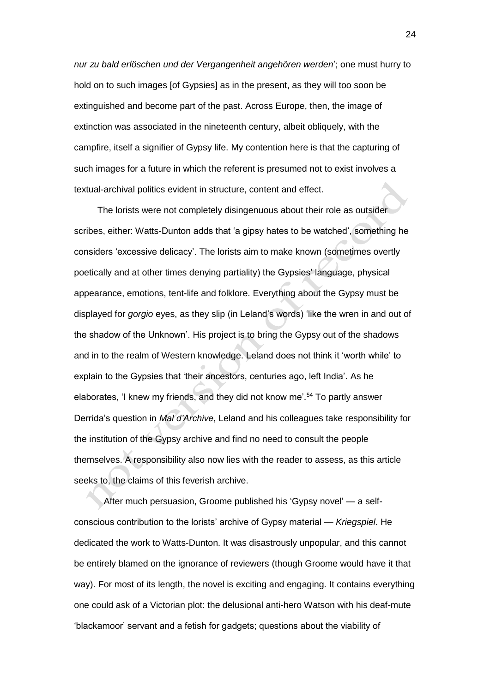*nur zu bald erlöschen und der Vergangenheit angehören werden*'; one must hurry to hold on to such images [of Gypsies] as in the present, as they will too soon be extinguished and become part of the past. Across Europe, then, the image of extinction was associated in the nineteenth century, albeit obliquely, with the campfire, itself a signifier of Gypsy life. My contention here is that the capturing of such images for a future in which the referent is presumed not to exist involves a textual-archival politics evident in structure, content and effect.

The lorists were not completely disingenuous about their role as outsider scribes, either: Watts-Dunton adds that 'a gipsy hates to be watched', something he considers 'excessive delicacy'. The lorists aim to make known (sometimes overtly poetically and at other times denying partiality) the Gypsies' language, physical appearance, emotions, tent-life and folklore. Everything about the Gypsy must be displayed for *gorgio* eyes, as they slip (in Leland's words) 'like the wren in and out of the shadow of the Unknown'. His project is to bring the Gypsy out of the shadows and in to the realm of Western knowledge. Leland does not think it 'worth while' to explain to the Gypsies that 'their ancestors, centuries ago, left India'. As he elaborates, 'I knew my friends, and they did not know me'.<sup>54</sup> To partly answer Derrida's question in *Mal d'Archive*, Leland and his colleagues take responsibility for the institution of the Gypsy archive and find no need to consult the people themselves. A responsibility also now lies with the reader to assess, as this article seeks to, the claims of this feverish archive.

After much persuasion, Groome published his 'Gypsy novel' — a selfconscious contribution to the lorists' archive of Gypsy material — *Kriegspiel*. He dedicated the work to Watts-Dunton. It was disastrously unpopular, and this cannot be entirely blamed on the ignorance of reviewers (though Groome would have it that way). For most of its length, the novel is exciting and engaging. It contains everything one could ask of a Victorian plot: the delusional anti-hero Watson with his deaf-mute 'blackamoor' servant and a fetish for gadgets; questions about the viability of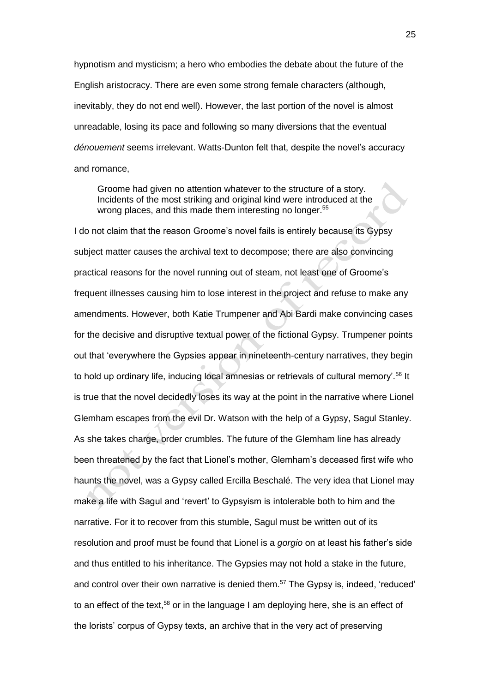hypnotism and mysticism; a hero who embodies the debate about the future of the English aristocracy. There are even some strong female characters (although, inevitably, they do not end well). However, the last portion of the novel is almost unreadable, losing its pace and following so many diversions that the eventual *dénouement* seems irrelevant. Watts-Dunton felt that, despite the novel's accuracy and romance,

Groome had given no attention whatever to the structure of a story. Incidents of the most striking and original kind were introduced at the wrong places, and this made them interesting no longer.<sup>55</sup>

I do not claim that the reason Groome's novel fails is entirely because its Gypsy subject matter causes the archival text to decompose; there are also convincing practical reasons for the novel running out of steam, not least one of Groome's frequent illnesses causing him to lose interest in the project and refuse to make any amendments. However, both Katie Trumpener and Abi Bardi make convincing cases for the decisive and disruptive textual power of the fictional Gypsy. Trumpener points out that 'everywhere the Gypsies appear in nineteenth-century narratives, they begin to hold up ordinary life, inducing local amnesias or retrievals of cultural memory'.<sup>56</sup> It is true that the novel decidedly loses its way at the point in the narrative where Lionel Glemham escapes from the evil Dr. Watson with the help of a Gypsy, Sagul Stanley. As she takes charge, order crumbles. The future of the Glemham line has already been threatened by the fact that Lionel's mother, Glemham's deceased first wife who haunts the novel, was a Gypsy called Ercilla Beschalé. The very idea that Lionel may make a life with Sagul and 'revert' to Gypsyism is intolerable both to him and the narrative. For it to recover from this stumble, Sagul must be written out of its resolution and proof must be found that Lionel is a *gorgio* on at least his father's side and thus entitled to his inheritance. The Gypsies may not hold a stake in the future, and control over their own narrative is denied them.<sup>57</sup> The Gypsy is, indeed, 'reduced' to an effect of the text,<sup>58</sup> or in the language I am deploying here, she is an effect of the lorists' corpus of Gypsy texts, an archive that in the very act of preserving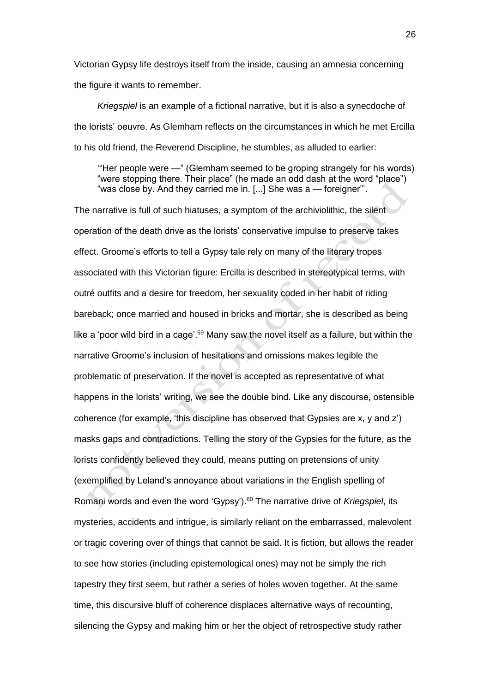Victorian Gypsy life destroys itself from the inside, causing an amnesia concerning the figure it wants to remember.

*Kriegspiel* is an example of a fictional narrative, but it is also a synecdoche of the lorists' oeuvre. As Glemham reflects on the circumstances in which he met Ercilla to his old friend, the Reverend Discipline, he stumbles, as alluded to earlier:

'"Her people were —" (Glemham seemed to be groping strangely for his words) "were stopping there. Their place" (he made an odd dash at the word "place") "was close by. And they carried me in. [...] She was a — foreigner"'.

The narrative is full of such hiatuses, a symptom of the archiviolithic, the silent operation of the death drive as the lorists' conservative impulse to preserve takes effect. Groome's efforts to tell a Gypsy tale rely on many of the literary tropes associated with this Victorian figure: Ercilla is described in stereotypical terms, with outré outfits and a desire for freedom, her sexuality coded in her habit of riding bareback; once married and housed in bricks and mortar, she is described as being like a 'poor wild bird in a cage'.<sup>59</sup> Many saw the novel itself as a failure, but within the narrative Groome's inclusion of hesitations and omissions makes legible the problematic of preservation. If the novel is accepted as representative of what happens in the lorists' writing, we see the double bind. Like any discourse, ostensible coherence (for example, 'this discipline has observed that Gypsies are x, y and z') masks gaps and contradictions. Telling the story of the Gypsies for the future, as the lorists confidently believed they could, means putting on pretensions of unity (exemplified by Leland's annoyance about variations in the English spelling of Romani words and even the word 'Gypsy').<sup>60</sup> The narrative drive of *Kriegspiel*, its mysteries, accidents and intrigue, is similarly reliant on the embarrassed, malevolent or tragic covering over of things that cannot be said. It is fiction, but allows the reader to see how stories (including epistemological ones) may not be simply the rich tapestry they first seem, but rather a series of holes woven together. At the same time, this discursive bluff of coherence displaces alternative ways of recounting, silencing the Gypsy and making him or her the object of retrospective study rather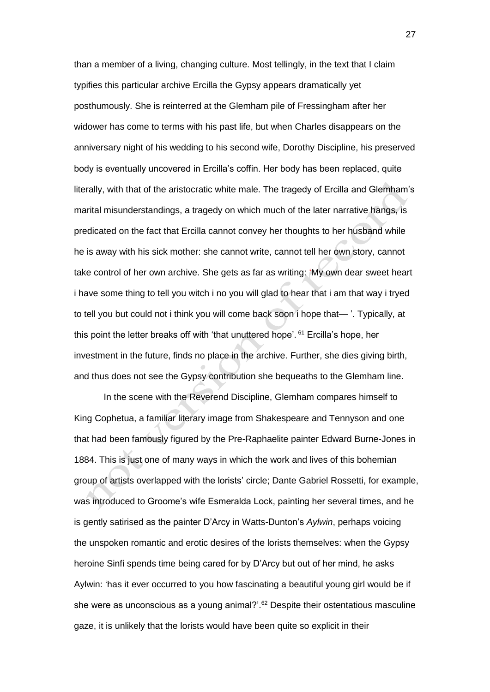than a member of a living, changing culture. Most tellingly, in the text that I claim typifies this particular archive Ercilla the Gypsy appears dramatically yet posthumously. She is reinterred at the Glemham pile of Fressingham after her widower has come to terms with his past life, but when Charles disappears on the anniversary night of his wedding to his second wife, Dorothy Discipline, his preserved body is eventually uncovered in Ercilla's coffin. Her body has been replaced, quite literally, with that of the aristocratic white male. The tragedy of Ercilla and Glemham's marital misunderstandings, a tragedy on which much of the later narrative hangs, is predicated on the fact that Ercilla cannot convey her thoughts to her husband while he is away with his sick mother: she cannot write, cannot tell her own story, cannot take control of her own archive. She gets as far as writing: 'My own dear sweet heart i have some thing to tell you witch i no you will glad to hear that i am that way i tryed to tell you but could not i think you will come back soon i hope that— '. Typically, at this point the letter breaks off with 'that unuttered hope'. <sup>61</sup> Ercilla's hope, her investment in the future, finds no place in the archive. Further, she dies giving birth, and thus does not see the Gypsy contribution she bequeaths to the Glemham line.

In the scene with the Reverend Discipline, Glemham compares himself to King Cophetua, a familiar literary image from Shakespeare and Tennyson and one that had been famously figured by the Pre-Raphaelite painter Edward Burne-Jones in 1884. This is just one of many ways in which the work and lives of this bohemian group of artists overlapped with the lorists' circle; Dante Gabriel Rossetti, for example, was introduced to Groome's wife Esmeralda Lock, painting her several times, and he is gently satirised as the painter D'Arcy in Watts-Dunton's *Aylwin*, perhaps voicing the unspoken romantic and erotic desires of the lorists themselves: when the Gypsy heroine Sinfi spends time being cared for by D'Arcy but out of her mind, he asks Aylwin: 'has it ever occurred to you how fascinating a beautiful young girl would be if she were as unconscious as a young animal?'.<sup>62</sup> Despite their ostentatious masculine gaze, it is unlikely that the lorists would have been quite so explicit in their

27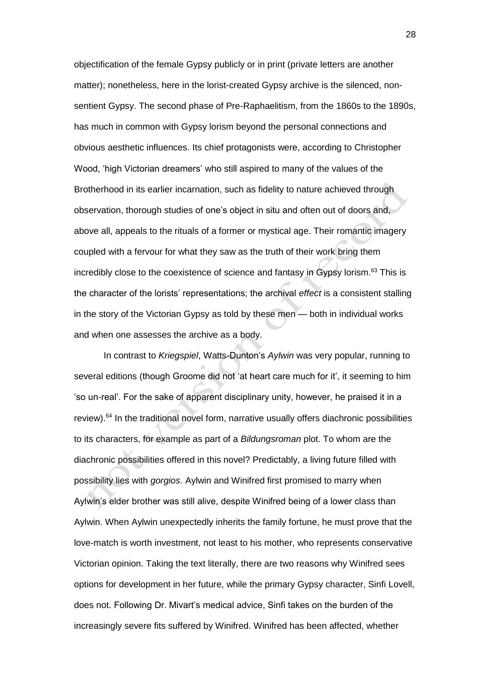objectification of the female Gypsy publicly or in print (private letters are another matter); nonetheless, here in the lorist-created Gypsy archive is the silenced, nonsentient Gypsy. The second phase of Pre-Raphaelitism, from the 1860s to the 1890s, has much in common with Gypsy lorism beyond the personal connections and obvious aesthetic influences. Its chief protagonists were, according to Christopher Wood, 'high Victorian dreamers' who still aspired to many of the values of the Brotherhood in its earlier incarnation, such as fidelity to nature achieved through observation, thorough studies of one's object in situ and often out of doors and, above all, appeals to the rituals of a former or mystical age. Their romantic imagery coupled with a fervour for what they saw as the truth of their work bring them incredibly close to the coexistence of science and fantasy in Gypsy lorism. $63$  This is the character of the lorists' representations; the archival *effect* is a consistent stalling in the story of the Victorian Gypsy as told by these men — both in individual works and when one assesses the archive as a body.

In contrast to *Kriegspiel*, Watts-Dunton's *Aylwin* was very popular, running to several editions (though Groome did not 'at heart care much for it', it seeming to him 'so un-real'. For the sake of apparent disciplinary unity, however, he praised it in a review).<sup>64</sup> In the traditional novel form, narrative usually offers diachronic possibilities to its characters, for example as part of a *Bildungsroman* plot. To whom are the diachronic possibilities offered in this novel? Predictably, a living future filled with possibility lies with *gorgios*. Aylwin and Winifred first promised to marry when Aylwin's elder brother was still alive, despite Winifred being of a lower class than Aylwin. When Aylwin unexpectedly inherits the family fortune, he must prove that the love-match is worth investment, not least to his mother, who represents conservative Victorian opinion. Taking the text literally, there are two reasons why Winifred sees options for development in her future, while the primary Gypsy character, Sinfi Lovell, does not. Following Dr. Mivart's medical advice, Sinfi takes on the burden of the increasingly severe fits suffered by Winifred. Winifred has been affected, whether

28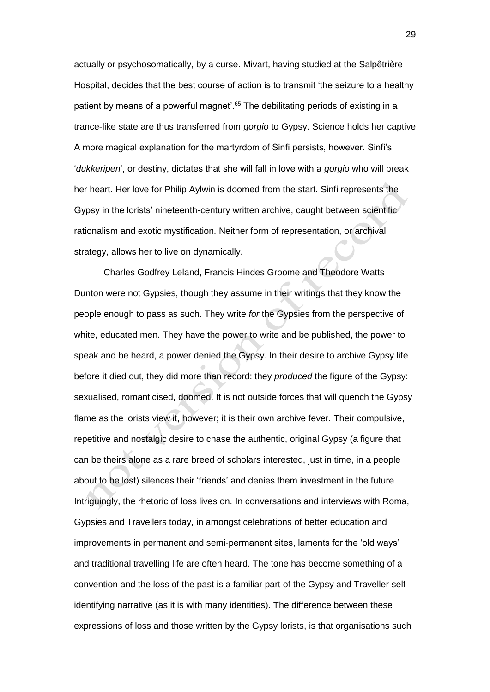actually or psychosomatically, by a curse. Mivart, having studied at the Salpêtrière Hospital, decides that the best course of action is to transmit 'the seizure to a healthy patient by means of a powerful magnet<sup>".65</sup> The debilitating periods of existing in a trance-like state are thus transferred from *gorgio* to Gypsy. Science holds her captive. A more magical explanation for the martyrdom of Sinfi persists, however. Sinfi's '*dukkeripen*', or destiny, dictates that she will fall in love with a *gorgio* who will break her heart. Her love for Philip Aylwin is doomed from the start. Sinfi represents the Gypsy in the lorists' nineteenth-century written archive, caught between scientific rationalism and exotic mystification. Neither form of representation, or archival strategy, allows her to live on dynamically.

Charles Godfrey Leland, Francis Hindes Groome and Theodore Watts Dunton were not Gypsies, though they assume in their writings that they know the people enough to pass as such. They write *for* the Gypsies from the perspective of white, educated men. They have the power to write and be published, the power to speak and be heard, a power denied the Gypsy. In their desire to archive Gypsy life before it died out, they did more than record: they *produced* the figure of the Gypsy: sexualised, romanticised, doomed. It is not outside forces that will quench the Gypsy flame as the lorists view it, however; it is their own archive fever. Their compulsive, repetitive and nostalgic desire to chase the authentic, original Gypsy (a figure that can be theirs alone as a rare breed of scholars interested, just in time, in a people about to be lost) silences their 'friends' and denies them investment in the future. Intriguingly, the rhetoric of loss lives on. In conversations and interviews with Roma, Gypsies and Travellers today, in amongst celebrations of better education and improvements in permanent and semi-permanent sites, laments for the 'old ways' and traditional travelling life are often heard. The tone has become something of a convention and the loss of the past is a familiar part of the Gypsy and Traveller selfidentifying narrative (as it is with many identities). The difference between these expressions of loss and those written by the Gypsy lorists, is that organisations such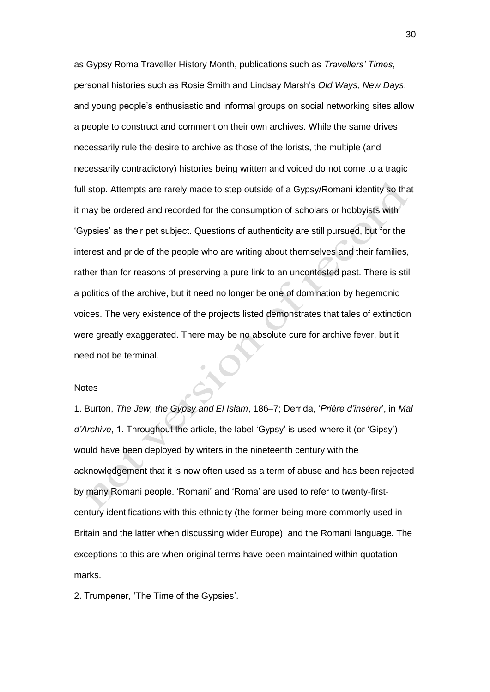as Gypsy Roma Traveller History Month, publications such as *Travellers' Times*, personal histories such as Rosie Smith and Lindsay Marsh's *Old Ways, New Days*, and young people's enthusiastic and informal groups on social networking sites allow a people to construct and comment on their own archives. While the same drives necessarily rule the desire to archive as those of the lorists, the multiple (and necessarily contradictory) histories being written and voiced do not come to a tragic full stop. Attempts are rarely made to step outside of a Gypsy/Romani identity so that it may be ordered and recorded for the consumption of scholars or hobbyists with 'Gypsies' as their pet subject. Questions of authenticity are still pursued, but for the interest and pride of the people who are writing about themselves and their families, rather than for reasons of preserving a pure link to an uncontested past. There is still a politics of the archive, but it need no longer be one of domination by hegemonic voices. The very existence of the projects listed demonstrates that tales of extinction were greatly exaggerated. There may be no absolute cure for archive fever, but it need not be terminal.

#### **Notes**

1. Burton, *The Jew, the Gypsy and El Islam*, 186–7; Derrida, '*Prière d'insérer*', in *Mal d'Archive*, 1. Throughout the article, the label 'Gypsy' is used where it (or 'Gipsy') would have been deployed by writers in the nineteenth century with the acknowledgement that it is now often used as a term of abuse and has been rejected by many Romani people. 'Romani' and 'Roma' are used to refer to twenty-firstcentury identifications with this ethnicity (the former being more commonly used in Britain and the latter when discussing wider Europe), and the Romani language. The exceptions to this are when original terms have been maintained within quotation marks.

2. Trumpener, 'The Time of the Gypsies'.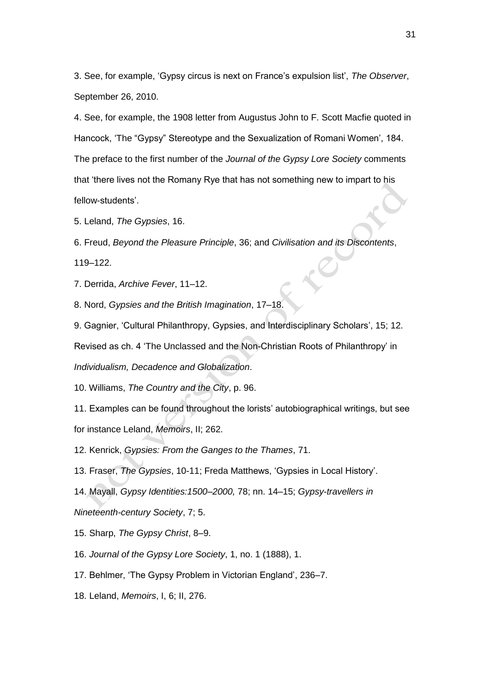3. See, for example, 'Gypsy circus is next on France's expulsion list', *The Observer*, September 26, 2010.

4. See, for example, the 1908 letter from Augustus John to F. Scott Macfie quoted in Hancock, 'The "Gypsy" Stereotype and the Sexualization of Romani Women', 184. The preface to the first number of the *Journal of the Gypsy Lore Society* comments that 'there lives not the Romany Rye that has not something new to impart to his fellow-students'.

5. Leland, *The Gypsies*, 16.

6. Freud, *Beyond the Pleasure Principle*, 36; and *Civilisation and its Discontents*, 119–122.

7. Derrida, *Archive Fever*, 11–12.

8. Nord, *Gypsies and the British Imagination*, 17–18.

9. Gagnier, 'Cultural Philanthropy, Gypsies, and Interdisciplinary Scholars', 15; 12. Revised as ch. 4 'The Unclassed and the Non-Christian Roots of Philanthropy' in *Individualism, Decadence and Globalization*.

10. Williams, *The Country and the City*, p. 96.

11. Examples can be found throughout the lorists' autobiographical writings, but see for instance Leland, *Memoirs*, II; 262.

12. Kenrick, *Gypsies: From the Ganges to the Thames*, 71.

13. Fraser, *The Gypsies*, 10-11; Freda Matthews, 'Gypsies in Local History'.

14. Mayall, *Gypsy Identities:1500–2000,* 78; nn. 14–15; *Gypsy-travellers in* 

*Nineteenth-century Society*, 7; 5.

15. Sharp, *The Gypsy Christ*, 8–9.

16. *Journal of the Gypsy Lore Society*, 1, no. 1 (1888), 1.

17. Behlmer, 'The Gypsy Problem in Victorian England', 236–7.

18. Leland, *Memoirs*, I, 6; II, 276.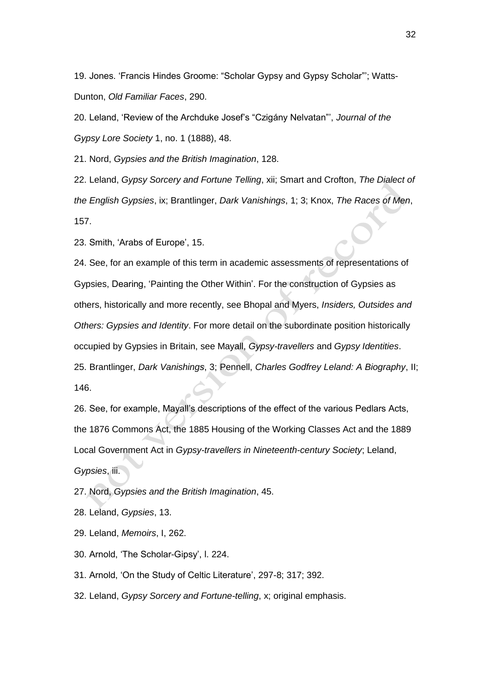19. Jones. 'Francis Hindes Groome: "Scholar Gypsy and Gypsy Scholar"'; Watts-Dunton, *Old Familiar Faces*, 290.

20. Leland, 'Review of the Archduke Josef's "Czigány Nelvatan"', *Journal of the Gypsy Lore Society* 1, no. 1 (1888), 48.

21. Nord, *Gypsies and the British Imagination*, 128.

22. Leland, *Gypsy Sorcery and Fortune Telling*, xii; Smart and Crofton, *The Dialect of the English Gypsies*, ix; Brantlinger, *Dark Vanishings*, 1; 3; Knox, *The Races of Men*, 157.

23. Smith, 'Arabs of Europe', 15.

24. See, for an example of this term in academic assessments of representations of Gypsies, Dearing, 'Painting the Other Within'. For the construction of Gypsies as others, historically and more recently, see Bhopal and Myers, *Insiders, Outsides and Others: Gypsies and Identity*. For more detail on the subordinate position historically occupied by Gypsies in Britain, see Mayall, *Gypsy-travellers* and *Gypsy Identities*. 25. Brantlinger, *Dark Vanishings*, 3; Pennell, *Charles Godfrey Leland: A Biography*, II; 146.

26. See, for example, Mayall's descriptions of the effect of the various Pedlars Acts, the 1876 Commons Act, the 1885 Housing of the Working Classes Act and the 1889 Local Government Act in *Gypsy-travellers in Nineteenth-century Society*; Leland, *Gypsies*, iii.

27. Nord, *Gypsies and the British Imagination*, 45.

28. Leland, *Gypsies*, 13.

29. Leland, *Memoirs*, I, 262.

30. Arnold, 'The Scholar-Gipsy', l. 224.

31. Arnold, 'On the Study of Celtic Literature', 297-8; 317; 392.

32. Leland, *Gypsy Sorcery and Fortune-telling*, x; original emphasis.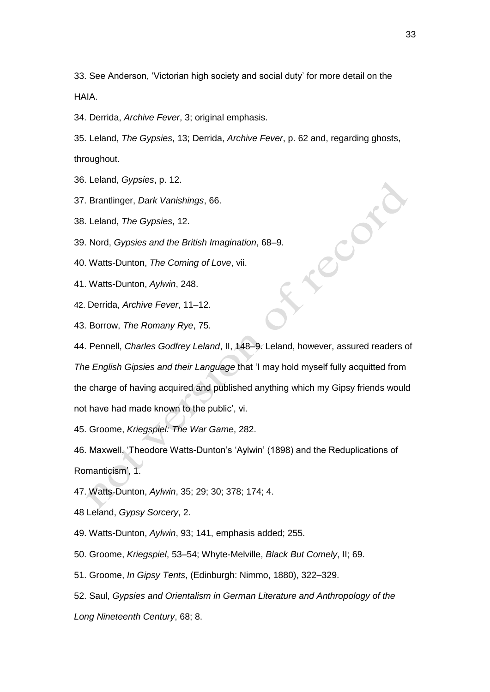33. See Anderson, 'Victorian high society and social duty' for more detail on the HAIA.

34. Derrida, *Archive Fever*, 3; original emphasis.

35. Leland, *The Gypsies*, 13; Derrida, *Archive Fever*, p. 62 and, regarding ghosts, throughout.

36. Leland, *Gypsies*, p. 12.

- 37. Brantlinger, *Dark Vanishings*, 66.
- 38. Leland, *The Gypsies*, 12.

39. Nord, *Gypsies and the British Imagination*, 68–9.<br>40. Watts-Dunton, *The Coming of Love*, vii.<br>41. Watts-Dunton, *Aylwin*, 248.<br>42. Derrida, *Archive* 

40. Watts-Dunton, *The Coming of Love*, vii.

41. Watts-Dunton, *Aylwin*, 248.

42. Derrida, *Archive Fever*, 11–12.

43. Borrow, *The Romany Rye*, 75.

44. Pennell, *Charles Godfrey Leland*, II, 148–9. Leland, however, assured readers of *The English Gipsies and their Language* that 'I may hold myself fully acquitted from the charge of having acquired and published anything which my Gipsy friends would not have had made known to the public', vi.

45. Groome, *Kriegspiel: The War Game*, 282.

46. Maxwell, 'Theodore Watts-Dunton's 'Aylwin' (1898) and the Reduplications of Romanticism', 1.

47. Watts-Dunton, *Aylwin*, 35; 29; 30; 378; 174; 4.

48 Leland, *Gypsy Sorcery*, 2.

49. Watts-Dunton, *Aylwin*, 93; 141, emphasis added; 255.

50. Groome, *Kriegspiel*, 53–54; Whyte-Melville, *Black But Comely*, II; 69.

51. Groome, *In Gipsy Tents*, (Edinburgh: Nimmo, 1880), 322–329.

52. Saul, *Gypsies and Orientalism in German Literature and Anthropology of the Long Nineteenth Century*, 68; 8.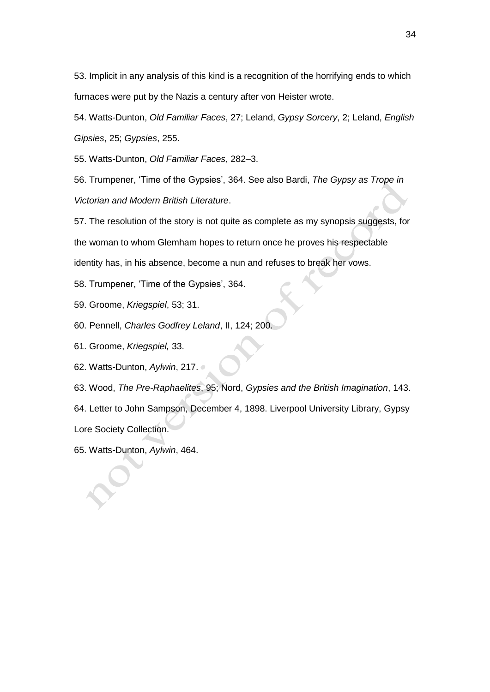53. Implicit in any analysis of this kind is a recognition of the horrifying ends to which furnaces were put by the Nazis a century after von Heister wrote.

54. Watts-Dunton, *Old Familiar Faces*, 27; Leland, *Gypsy Sorcery*, 2; Leland, *English Gipsies*, 25; *Gypsies*, 255.

55. Watts-Dunton, *Old Familiar Faces*, 282–3.

56. Trumpener, 'Time of the Gypsies', 364. See also Bardi, *The Gypsy as Trope in Victorian and Modern British Literature*.

57. The resolution of the story is not quite as complete as my synopsis suggests, for the woman to whom Glemham hopes to return once he proves his respectable

identity has, in his absence, become a nun and refuses to break her vows.

58. Trumpener, 'Time of the Gypsies', 364.

59. Groome, *Kriegspiel*, 53; 31.

60. Pennell, *Charles Godfrey Leland*, II, 124; 200.

61. Groome, *Kriegspiel,* 33.

62. Watts-Dunton, *Aylwin*, 217.

63. Wood, *The Pre-Raphaelites*, 95; Nord, *Gypsies and the British Imagination*, 143.

64. Letter to John Sampson, December 4, 1898. Liverpool University Library, Gypsy Lore Society Collection.

65. Watts-Dunton, *Aylwin*, 464.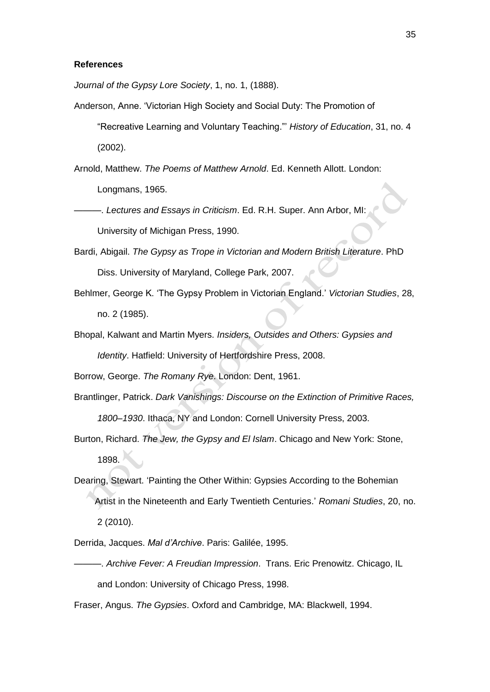### **References**

*Journal of the Gypsy Lore Society*, 1, no. 1, (1888).

Anderson, Anne. 'Victorian High Society and Social Duty: The Promotion of "Recreative Learning and Voluntary Teaching."' *History of Education*, 31, no. 4 (2002).

Arnold, Matthew. *The Poems of Matthew Arnold*. Ed. Kenneth Allott. London: Longmans, 1965.

- ———. *Lectures and Essays in Criticism*. Ed. R.H. Super. Ann Arbor, MI: University of Michigan Press, 1990.
- Bardi, Abigail. *The Gypsy as Trope in Victorian and Modern British Literature*. PhD Diss. University of Maryland, College Park, 2007.
- Behlmer, George K. 'The Gypsy Problem in Victorian England.' *Victorian Studies*, 28, no. 2 (1985).
- Bhopal, Kalwant and Martin Myers. *Insiders, Outsides and Others: Gypsies and Identity*. Hatfield: University of Hertfordshire Press, 2008.

Borrow, George. *The Romany Rye*. London: Dent, 1961.

- Brantlinger, Patrick. *Dark Vanishings: Discourse on the Extinction of Primitive Races, 1800–1930*. Ithaca, NY and London: Cornell University Press, 2003.
- Burton, Richard. *The Jew, the Gypsy and El Islam*. Chicago and New York: Stone, 1898.
- Dearing, Stewart. 'Painting the Other Within: Gypsies According to the Bohemian Artist in the Nineteenth and Early Twentieth Centuries.' *Romani Studies*, 20, no. 2 (2010).

Derrida, Jacques. *Mal d'Archive*. Paris: Galilée, 1995.

———. *Archive Fever: A Freudian Impression*. Trans. Eric Prenowitz. Chicago, IL and London: University of Chicago Press, 1998.

Fraser, Angus. *The Gypsies*. Oxford and Cambridge, MA: Blackwell, 1994.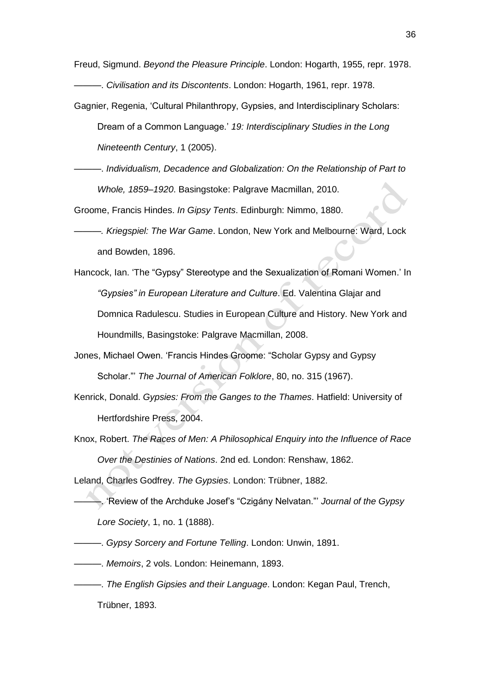Freud, Sigmund. *Beyond the Pleasure Principle*. London: Hogarth, 1955, repr. 1978.

- ———. *Civilisation and its Discontents*. London: Hogarth, 1961, repr. 1978.
- Gagnier, Regenia, 'Cultural Philanthropy, Gypsies, and Interdisciplinary Scholars: Dream of a Common Language.' *19: Interdisciplinary Studies in the Long Nineteenth Century*, 1 (2005).
- ———. *Individualism, Decadence and Globalization: On the Relationship of Part to Whole, 1859–1920*. Basingstoke: Palgrave Macmillan, 2010.

Groome, Francis Hindes. *In Gipsy Tents*. Edinburgh: Nimmo, 1880.

- *———. Kriegspiel: The War Game*. London, New York and Melbourne: Ward, Lock and Bowden, 1896.
- Hancock, Ian. 'The "Gypsy" Stereotype and the Sexualization of Romani Women.' In *"Gypsies" in European Literature and Culture*. Ed. Valentina Glajar and Domnica Radulescu. Studies in European Culture and History. New York and Houndmills, Basingstoke: Palgrave Macmillan, 2008.
- Jones, Michael Owen. 'Francis Hindes Groome: "Scholar Gypsy and Gypsy Scholar."' *The Journal of American Folklore*, 80, no. 315 (1967).
- Kenrick, Donald. *Gypsies: From the Ganges to the Thames*. Hatfield: University of Hertfordshire Press, 2004.
- Knox, Robert. *The Races of Men: A Philosophical Enquiry into the Influence of Race Over the Destinies of Nations*. 2nd ed. London: Renshaw, 1862.

Leland, Charles Godfrey. *The Gypsies*. London: Trübner, 1882.

- ———. 'Review of the Archduke Josef's "Czigány Nelvatan."' *Journal of the Gypsy Lore Society*, 1, no. 1 (1888).
- ———. *Gypsy Sorcery and Fortune Telling*. London: Unwin, 1891.
- ———. *Memoirs*, 2 vols. London: Heinemann, 1893.
- ———. *The English Gipsies and their Language*. London: Kegan Paul, Trench, Trübner, 1893.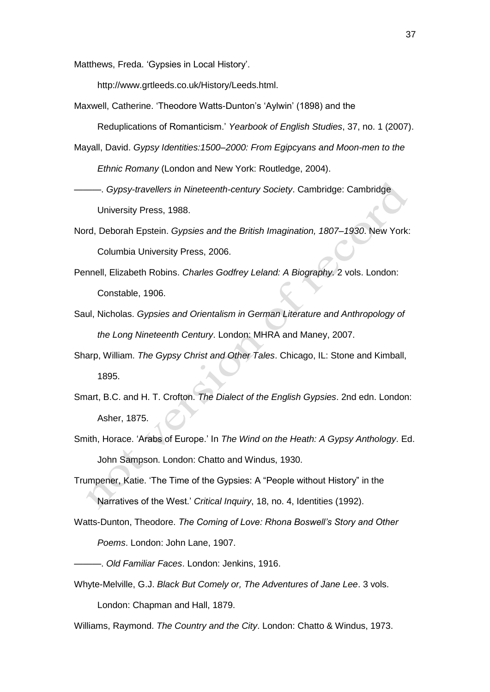Matthews, Freda. 'Gypsies in Local History'.

http://www.grtleeds.co.uk/History/Leeds.html.

Maxwell, Catherine. 'Theodore Watts-Dunton's 'Aylwin' (1898) and the

Reduplications of Romanticism.' *Yearbook of English Studies*, 37, no. 1 (2007).

Mayall, David. *Gypsy Identities:1500–2000: From Egipcyans and Moon-men to the* 

*Ethnic Romany* (London and New York: Routledge, 2004).

———. *Gypsy-travellers in Nineteenth-century Society*. Cambridge: Cambridge University Press, 1988.

Nord, Deborah Epstein. *Gypsies and the British Imagination, 1807–1930*. New York: Columbia University Press, 2006.

Pennell, Elizabeth Robins. *Charles Godfrey Leland: A Biography.* 2 vols. London: Constable, 1906.

- Saul, Nicholas. *Gypsies and Orientalism in German Literature and Anthropology of the Long Nineteenth Century*. London: MHRA and Maney, 2007.
- Sharp, William. *The Gypsy Christ and Other Tales*. Chicago, IL: Stone and Kimball, 1895.
- Smart, B.C. and H. T. Crofton. *The Dialect of the English Gypsies*. 2nd edn. London: Asher, 1875.
- Smith, Horace. 'Arabs of Europe.' In *The Wind on the Heath: A Gypsy Anthology*. Ed. John Sampson. London: Chatto and Windus, 1930.

Trumpener, Katie. 'The Time of the Gypsies: A "People without History" in the Narratives of the West.' *Critical Inquiry*, 18, no. 4, Identities (1992).

Watts-Dunton, Theodore. *The Coming of Love: Rhona Boswell's Story and Other Poems*. London: John Lane, 1907.

———. *Old Familiar Faces*. London: Jenkins, 1916.

Whyte-Melville, G.J. *Black But Comely or, The Adventures of Jane Lee*. 3 vols.

London: Chapman and Hall, 1879.

Williams, Raymond. *The Country and the City*. London: Chatto & Windus, 1973.